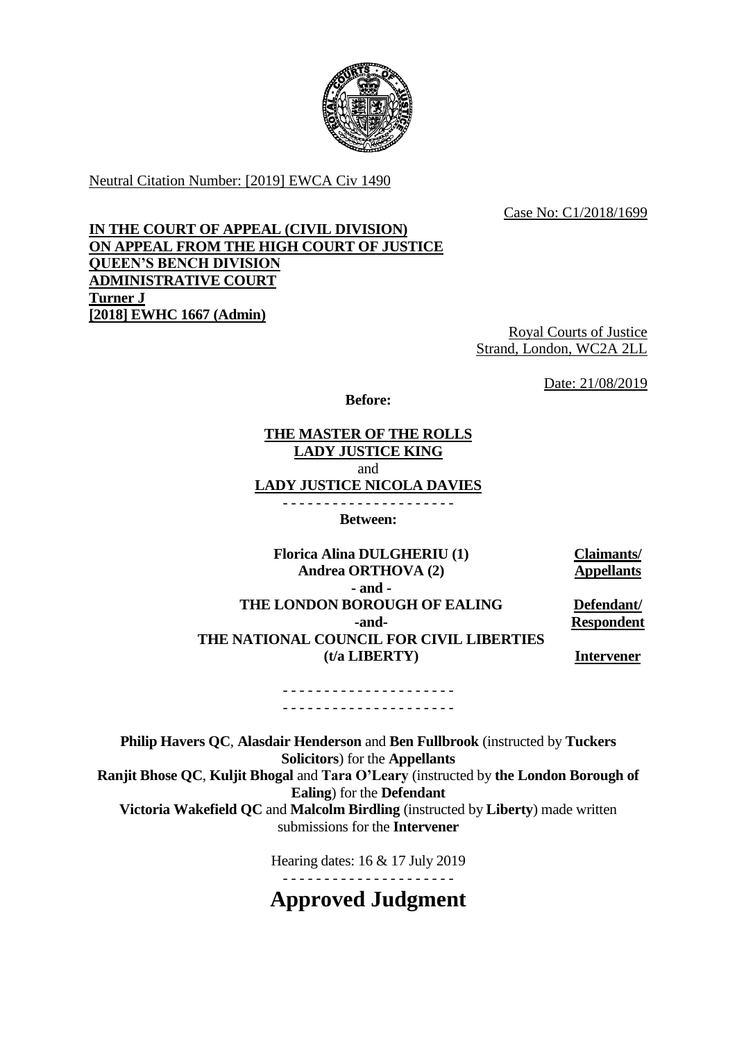

Neutral Citation Number: [2019] EWCA Civ 1490

Case No: C1/2018/1699

**IN THE COURT OF APPEAL (CIVIL DIVISION) ON APPEAL FROM THE HIGH COURT OF JUSTICE QUEEN'S BENCH DIVISION ADMINISTRATIVE COURT Turner J [2018] EWHC 1667 (Admin)**

Royal Courts of Justice Strand, London, WC2A 2LL

Date: 21/08/2019

**Before:**

**THE MASTER OF THE ROLLS LADY JUSTICE KING** and **LADY JUSTICE NICOLA DAVIES** - - - - - - - - - - - - - - - - - - - - -

**Between:**

**Florica Alina DULGHERIU (1) Andrea ORTHOVA (2) - and - THE LONDON BOROUGH OF EALING -and-THE NATIONAL COUNCIL FOR CIVIL LIBERTIES** 

**Claimants/ Appellants**

**Defendant/ Respondent**

**(t/a LIBERTY)**

**Intervener**

- - - - - - - - - - - - - - - - - - - - - - - - - - - - - - - - - - - - - - - - - -

**Philip Havers QC**, **Alasdair Henderson** and **Ben Fullbrook** (instructed by **Tuckers Solicitors**) for the **Appellants Ranjit Bhose QC**, **Kuljit Bhogal** and **Tara O'Leary** (instructed by **the London Borough of Ealing**) for the **Defendant Victoria Wakefield QC** and **Malcolm Birdling** (instructed by **Liberty**) made written submissions for the **Intervener**

Hearing dates: 16 & 17 July 2019

- - - - - - - - - - - - - - - - - - - - - **Approved Judgment**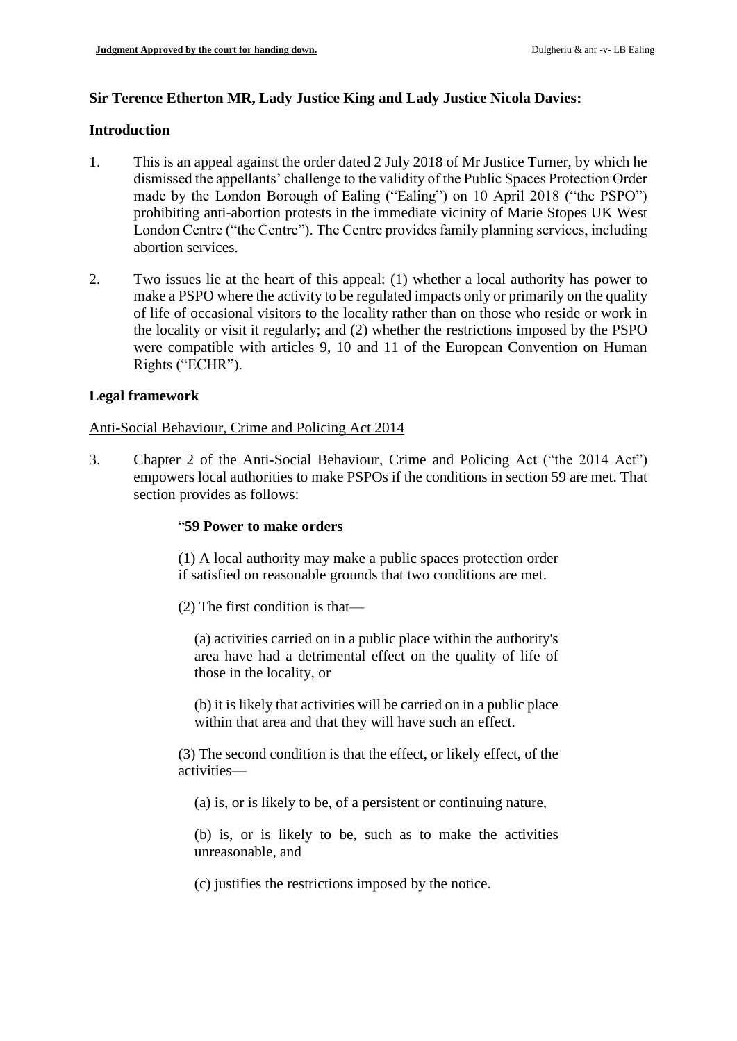### **Sir Terence Etherton MR, Lady Justice King and Lady Justice Nicola Davies:**

### **Introduction**

- 1. This is an appeal against the order dated 2 July 2018 of Mr Justice Turner, by which he dismissed the appellants' challenge to the validity of the Public Spaces Protection Order made by the London Borough of Ealing ("Ealing") on 10 April 2018 ("the PSPO") prohibiting anti-abortion protests in the immediate vicinity of Marie Stopes UK West London Centre ("the Centre"). The Centre provides family planning services, including abortion services.
- 2. Two issues lie at the heart of this appeal: (1) whether a local authority has power to make a PSPO where the activity to be regulated impacts only or primarily on the quality of life of occasional visitors to the locality rather than on those who reside or work in the locality or visit it regularly; and (2) whether the restrictions imposed by the PSPO were compatible with articles 9, 10 and 11 of the European Convention on Human Rights ("ECHR").

### **Legal framework**

### Anti-Social Behaviour, Crime and Policing Act 2014

3. Chapter 2 of the Anti-Social Behaviour, Crime and Policing Act ("the 2014 Act") empowers local authorities to make PSPOs if the conditions in section 59 are met. That section provides as follows:

### "**59 Power to make orders**

(1) A local authority may make a public spaces protection order if satisfied on reasonable grounds that two conditions are met.

(2) The first condition is that—

(a) activities carried on in a public place within the authority's area have had a detrimental effect on the quality of life of those in the locality, or

(b) it is likely that activities will be carried on in a public place within that area and that they will have such an effect.

(3) The second condition is that the effect, or likely effect, of the activities—

(a) is, or is likely to be, of a persistent or continuing nature,

(b) is, or is likely to be, such as to make the activities unreasonable, and

(c) justifies the restrictions imposed by the notice.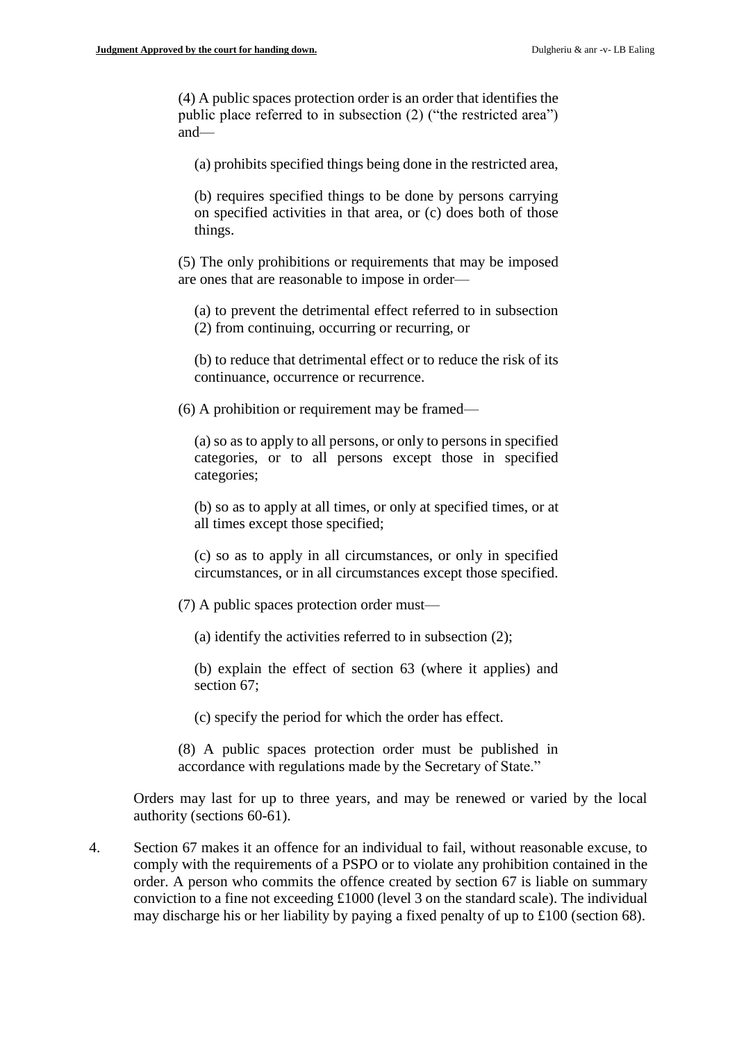(4) A public spaces protection order is an order that identifies the public place referred to in subsection (2) ("the restricted area") and—

(a) prohibits specified things being done in the restricted area,

(b) requires specified things to be done by persons carrying on specified activities in that area, or (c) does both of those things.

(5) The only prohibitions or requirements that may be imposed are ones that are reasonable to impose in order—

(a) to prevent the detrimental effect referred to in subsection (2) from continuing, occurring or recurring, or

(b) to reduce that detrimental effect or to reduce the risk of its continuance, occurrence or recurrence.

(6) A prohibition or requirement may be framed—

(a) so as to apply to all persons, or only to persons in specified categories, or to all persons except those in specified categories;

(b) so as to apply at all times, or only at specified times, or at all times except those specified;

(c) so as to apply in all circumstances, or only in specified circumstances, or in all circumstances except those specified.

(7) A public spaces protection order must—

(a) identify the activities referred to in subsection (2);

(b) explain the effect of section 63 (where it applies) and section 67:

(c) specify the period for which the order has effect.

(8) A public spaces protection order must be published in accordance with regulations made by the Secretary of State."

Orders may last for up to three years, and may be renewed or varied by the local authority (sections 60-61).

4. Section 67 makes it an offence for an individual to fail, without reasonable excuse, to comply with the requirements of a PSPO or to violate any prohibition contained in the order. A person who commits the offence created by section 67 is liable on summary conviction to a fine not exceeding £1000 (level 3 on the standard scale). The individual may discharge his or her liability by paying a fixed penalty of up to £100 (section 68).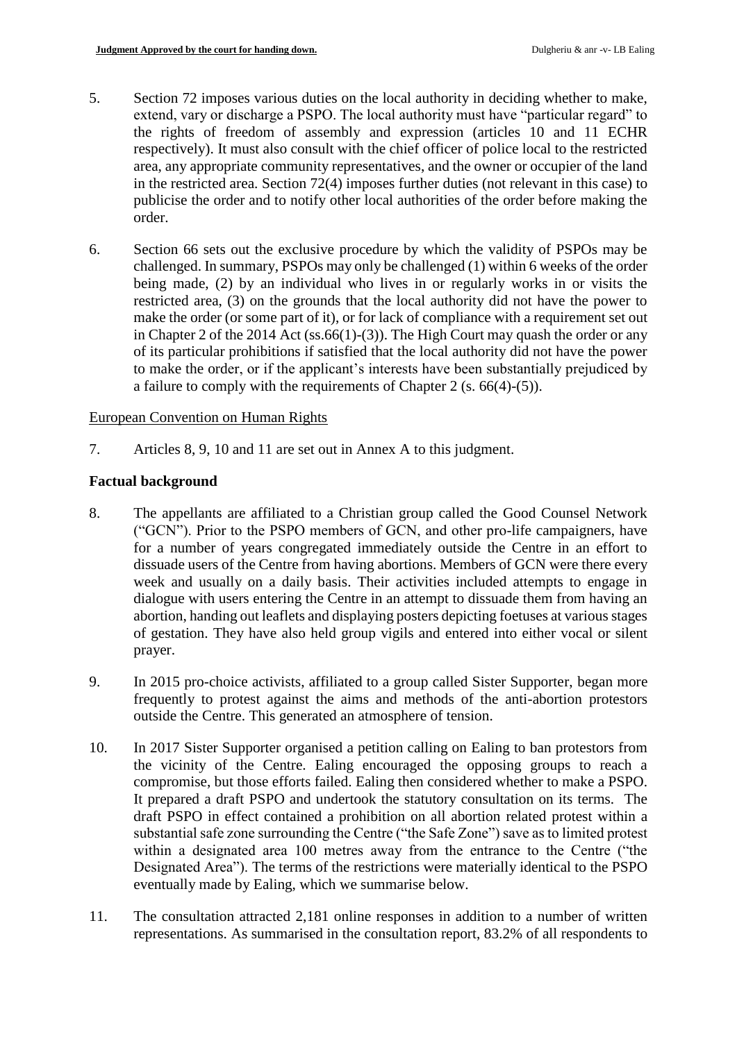- 5. Section 72 imposes various duties on the local authority in deciding whether to make, extend, vary or discharge a PSPO. The local authority must have "particular regard" to the rights of freedom of assembly and expression (articles 10 and 11 ECHR respectively). It must also consult with the chief officer of police local to the restricted area, any appropriate community representatives, and the owner or occupier of the land in the restricted area. Section 72(4) imposes further duties (not relevant in this case) to publicise the order and to notify other local authorities of the order before making the order.
- 6. Section 66 sets out the exclusive procedure by which the validity of PSPOs may be challenged. In summary, PSPOs may only be challenged (1) within 6 weeks of the order being made, (2) by an individual who lives in or regularly works in or visits the restricted area, (3) on the grounds that the local authority did not have the power to make the order (or some part of it), or for lack of compliance with a requirement set out in Chapter 2 of the 2014 Act (ss.66(1)-(3)). The High Court may quash the order or any of its particular prohibitions if satisfied that the local authority did not have the power to make the order, or if the applicant's interests have been substantially prejudiced by a failure to comply with the requirements of Chapter 2 (s. 66(4)-(5)).

# European Convention on Human Rights

7. Articles 8, 9, 10 and 11 are set out in Annex A to this judgment.

# **Factual background**

- 8. The appellants are affiliated to a Christian group called the Good Counsel Network ("GCN"). Prior to the PSPO members of GCN, and other pro-life campaigners, have for a number of years congregated immediately outside the Centre in an effort to dissuade users of the Centre from having abortions. Members of GCN were there every week and usually on a daily basis. Their activities included attempts to engage in dialogue with users entering the Centre in an attempt to dissuade them from having an abortion, handing out leaflets and displaying posters depicting foetuses at various stages of gestation. They have also held group vigils and entered into either vocal or silent prayer.
- 9. In 2015 pro-choice activists, affiliated to a group called Sister Supporter, began more frequently to protest against the aims and methods of the anti-abortion protestors outside the Centre. This generated an atmosphere of tension.
- 10. In 2017 Sister Supporter organised a petition calling on Ealing to ban protestors from the vicinity of the Centre. Ealing encouraged the opposing groups to reach a compromise, but those efforts failed. Ealing then considered whether to make a PSPO. It prepared a draft PSPO and undertook the statutory consultation on its terms. The draft PSPO in effect contained a prohibition on all abortion related protest within a substantial safe zone surrounding the Centre ("the Safe Zone") save as to limited protest within a designated area 100 metres away from the entrance to the Centre ("the Designated Area"). The terms of the restrictions were materially identical to the PSPO eventually made by Ealing, which we summarise below.
- 11. The consultation attracted 2,181 online responses in addition to a number of written representations. As summarised in the consultation report, 83.2% of all respondents to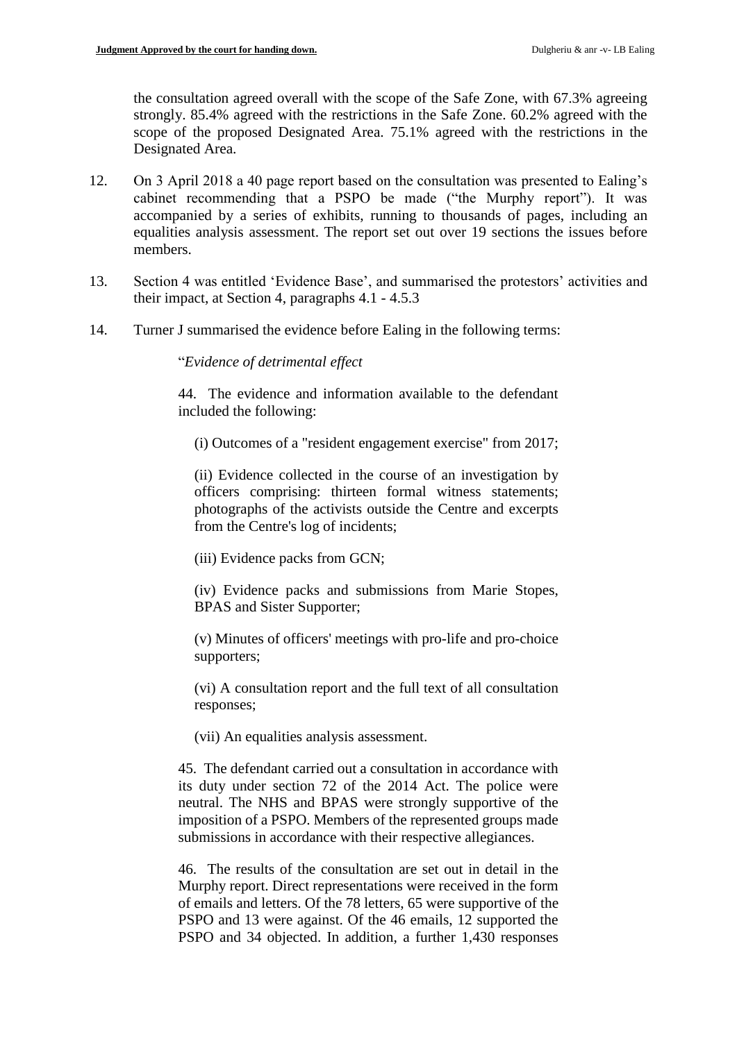the consultation agreed overall with the scope of the Safe Zone, with 67.3% agreeing strongly. 85.4% agreed with the restrictions in the Safe Zone. 60.2% agreed with the scope of the proposed Designated Area. 75.1% agreed with the restrictions in the Designated Area.

- 12. On 3 April 2018 a 40 page report based on the consultation was presented to Ealing's cabinet recommending that a PSPO be made ("the Murphy report"). It was accompanied by a series of exhibits, running to thousands of pages, including an equalities analysis assessment. The report set out over 19 sections the issues before members.
- 13. Section 4 was entitled 'Evidence Base', and summarised the protestors' activities and their impact, at Section 4, paragraphs 4.1 - 4.5.3
- 14. Turner J summarised the evidence before Ealing in the following terms:

"*Evidence of detrimental effect*

44. The evidence and information available to the defendant included the following:

(i) Outcomes of a "resident engagement exercise" from 2017;

(ii) Evidence collected in the course of an investigation by officers comprising: thirteen formal witness statements; photographs of the activists outside the Centre and excerpts from the Centre's log of incidents;

(iii) Evidence packs from GCN;

(iv) Evidence packs and submissions from Marie Stopes, BPAS and Sister Supporter;

(v) Minutes of officers' meetings with pro-life and pro-choice supporters;

(vi) A consultation report and the full text of all consultation responses;

(vii) An equalities analysis assessment.

45. The defendant carried out a consultation in accordance with its duty under section 72 of the 2014 Act. The police were neutral. The NHS and BPAS were strongly supportive of the imposition of a PSPO. Members of the represented groups made submissions in accordance with their respective allegiances.

46. The results of the consultation are set out in detail in the Murphy report. Direct representations were received in the form of emails and letters. Of the 78 letters, 65 were supportive of the PSPO and 13 were against. Of the 46 emails, 12 supported the PSPO and 34 objected. In addition, a further 1,430 responses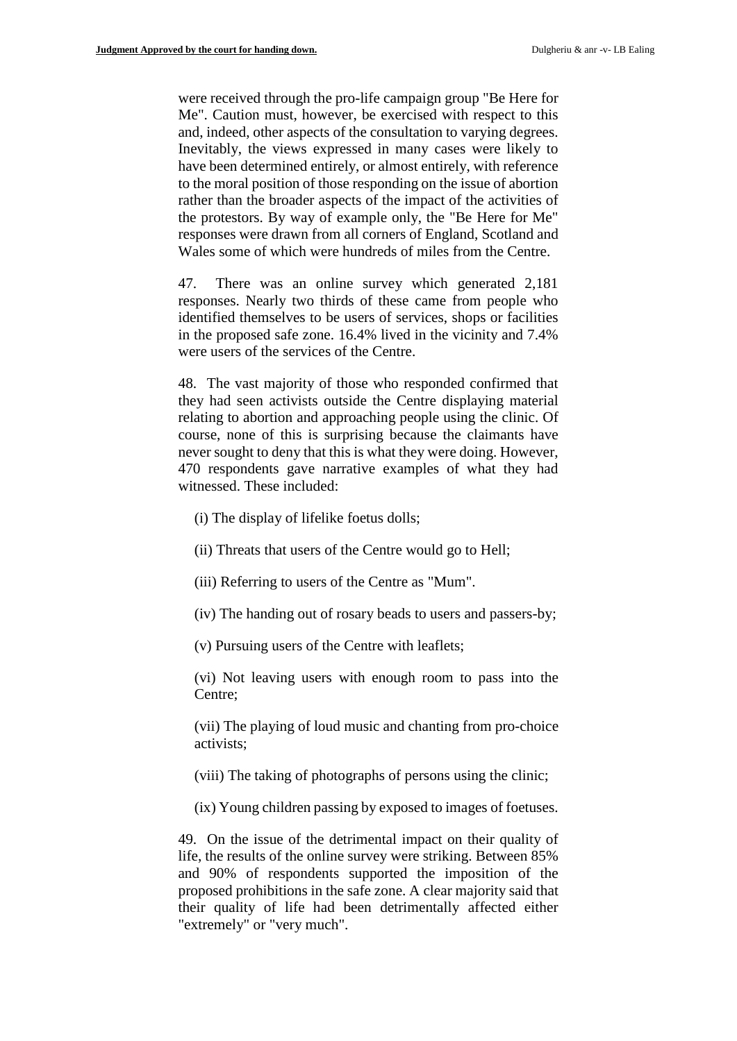were received through the pro-life campaign group "Be Here for Me". Caution must, however, be exercised with respect to this and, indeed, other aspects of the consultation to varying degrees. Inevitably, the views expressed in many cases were likely to have been determined entirely, or almost entirely, with reference to the moral position of those responding on the issue of abortion rather than the broader aspects of the impact of the activities of the protestors. By way of example only, the "Be Here for Me" responses were drawn from all corners of England, Scotland and Wales some of which were hundreds of miles from the Centre.

47. There was an online survey which generated 2,181 responses. Nearly two thirds of these came from people who identified themselves to be users of services, shops or facilities in the proposed safe zone. 16.4% lived in the vicinity and 7.4% were users of the services of the Centre.

48. The vast majority of those who responded confirmed that they had seen activists outside the Centre displaying material relating to abortion and approaching people using the clinic. Of course, none of this is surprising because the claimants have never sought to deny that this is what they were doing. However, 470 respondents gave narrative examples of what they had witnessed. These included:

- (i) The display of lifelike foetus dolls;
- (ii) Threats that users of the Centre would go to Hell;
- (iii) Referring to users of the Centre as "Mum".
- (iv) The handing out of rosary beads to users and passers-by;
- (v) Pursuing users of the Centre with leaflets;

(vi) Not leaving users with enough room to pass into the Centre;

(vii) The playing of loud music and chanting from pro-choice activists;

- (viii) The taking of photographs of persons using the clinic;
- (ix) Young children passing by exposed to images of foetuses.

49. On the issue of the detrimental impact on their quality of life, the results of the online survey were striking. Between 85% and 90% of respondents supported the imposition of the proposed prohibitions in the safe zone. A clear majority said that their quality of life had been detrimentally affected either "extremely" or "very much".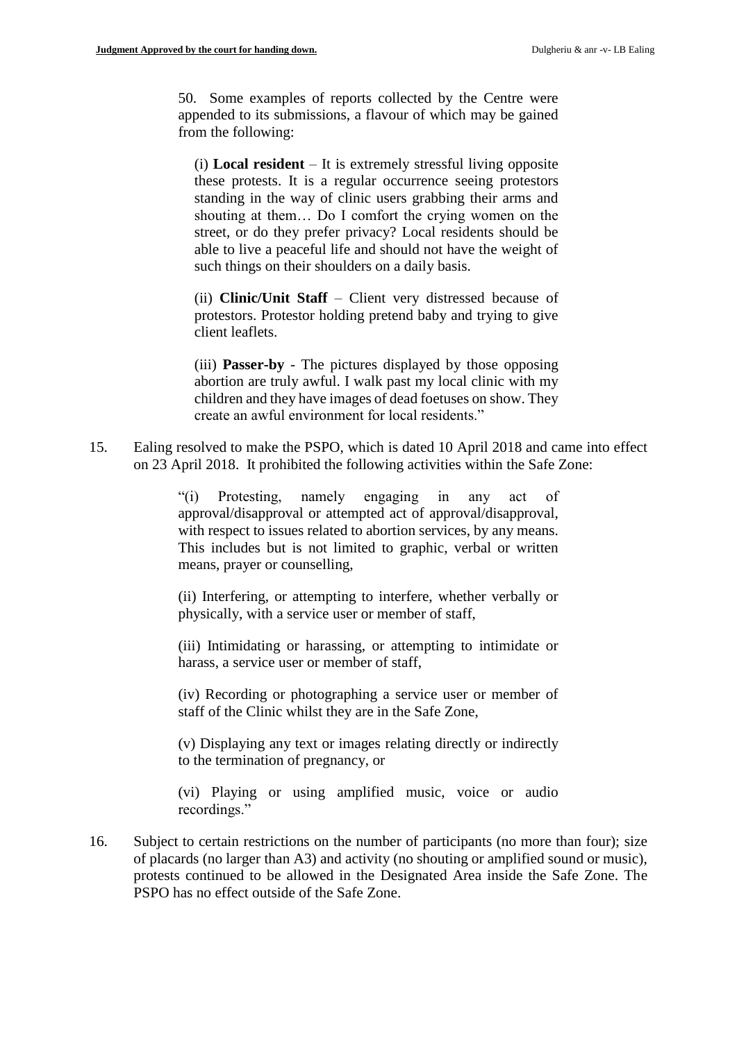50. Some examples of reports collected by the Centre were appended to its submissions, a flavour of which may be gained from the following:

(i) **Local resident** – It is extremely stressful living opposite these protests. It is a regular occurrence seeing protestors standing in the way of clinic users grabbing their arms and shouting at them… Do I comfort the crying women on the street, or do they prefer privacy? Local residents should be able to live a peaceful life and should not have the weight of such things on their shoulders on a daily basis.

(ii) **Clinic/Unit Staff** – Client very distressed because of protestors. Protestor holding pretend baby and trying to give client leaflets.

(iii) **Passer-by** - The pictures displayed by those opposing abortion are truly awful. I walk past my local clinic with my children and they have images of dead foetuses on show. They create an awful environment for local residents."

15. Ealing resolved to make the PSPO, which is dated 10 April 2018 and came into effect on 23 April 2018. It prohibited the following activities within the Safe Zone:

> "(i) Protesting, namely engaging in any act of approval/disapproval or attempted act of approval/disapproval, with respect to issues related to abortion services, by any means. This includes but is not limited to graphic, verbal or written means, prayer or counselling,

> (ii) Interfering, or attempting to interfere, whether verbally or physically, with a service user or member of staff,

> (iii) Intimidating or harassing, or attempting to intimidate or harass, a service user or member of staff,

> (iv) Recording or photographing a service user or member of staff of the Clinic whilst they are in the Safe Zone,

> (v) Displaying any text or images relating directly or indirectly to the termination of pregnancy, or

> (vi) Playing or using amplified music, voice or audio recordings."

16. Subject to certain restrictions on the number of participants (no more than four); size of placards (no larger than A3) and activity (no shouting or amplified sound or music), protests continued to be allowed in the Designated Area inside the Safe Zone. The PSPO has no effect outside of the Safe Zone.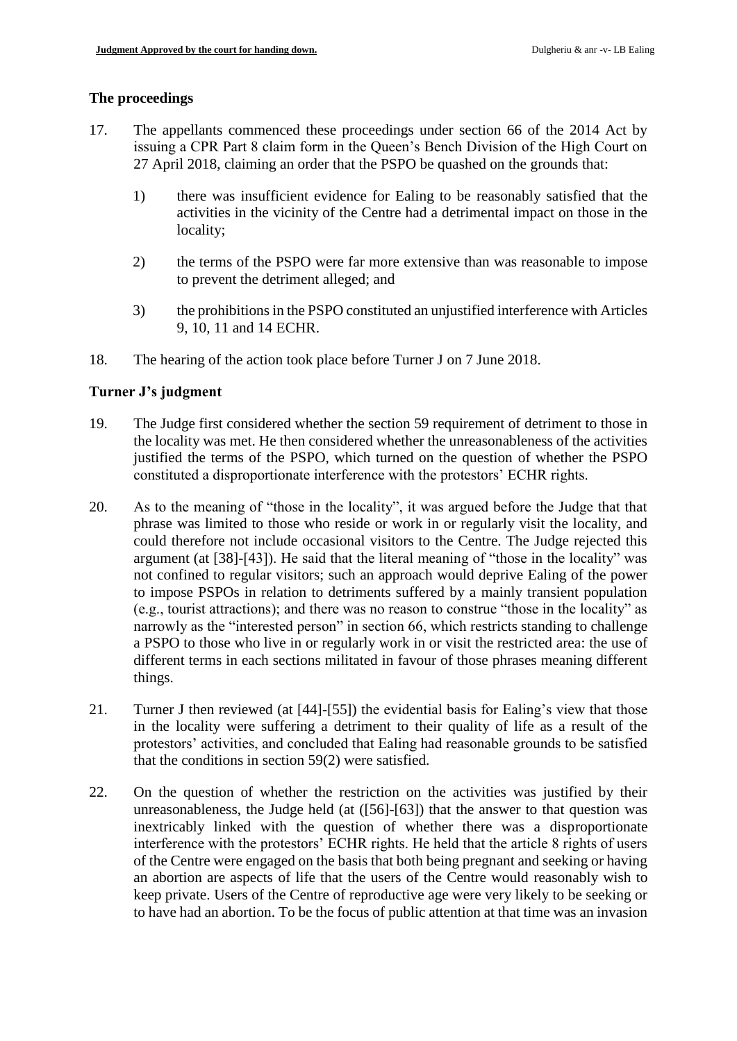# **The proceedings**

- 17. The appellants commenced these proceedings under section 66 of the 2014 Act by issuing a CPR Part 8 claim form in the Queen's Bench Division of the High Court on 27 April 2018, claiming an order that the PSPO be quashed on the grounds that:
	- 1) there was insufficient evidence for Ealing to be reasonably satisfied that the activities in the vicinity of the Centre had a detrimental impact on those in the locality;
	- 2) the terms of the PSPO were far more extensive than was reasonable to impose to prevent the detriment alleged; and
	- 3) the prohibitions in the PSPO constituted an unjustified interference with Articles 9, 10, 11 and 14 ECHR.
- 18. The hearing of the action took place before Turner J on 7 June 2018.

# **Turner J's judgment**

- 19. The Judge first considered whether the section 59 requirement of detriment to those in the locality was met. He then considered whether the unreasonableness of the activities justified the terms of the PSPO, which turned on the question of whether the PSPO constituted a disproportionate interference with the protestors' ECHR rights.
- 20. As to the meaning of "those in the locality", it was argued before the Judge that that phrase was limited to those who reside or work in or regularly visit the locality, and could therefore not include occasional visitors to the Centre. The Judge rejected this argument (at [38]-[43]). He said that the literal meaning of "those in the locality" was not confined to regular visitors; such an approach would deprive Ealing of the power to impose PSPOs in relation to detriments suffered by a mainly transient population (e.g., tourist attractions); and there was no reason to construe "those in the locality" as narrowly as the "interested person" in section 66, which restricts standing to challenge a PSPO to those who live in or regularly work in or visit the restricted area: the use of different terms in each sections militated in favour of those phrases meaning different things.
- 21. Turner J then reviewed (at [44]-[55]) the evidential basis for Ealing's view that those in the locality were suffering a detriment to their quality of life as a result of the protestors' activities, and concluded that Ealing had reasonable grounds to be satisfied that the conditions in section 59(2) were satisfied.
- 22. On the question of whether the restriction on the activities was justified by their unreasonableness, the Judge held (at ([56]-[63]) that the answer to that question was inextricably linked with the question of whether there was a disproportionate interference with the protestors' ECHR rights. He held that the article 8 rights of users of the Centre were engaged on the basis that both being pregnant and seeking or having an abortion are aspects of life that the users of the Centre would reasonably wish to keep private. Users of the Centre of reproductive age were very likely to be seeking or to have had an abortion. To be the focus of public attention at that time was an invasion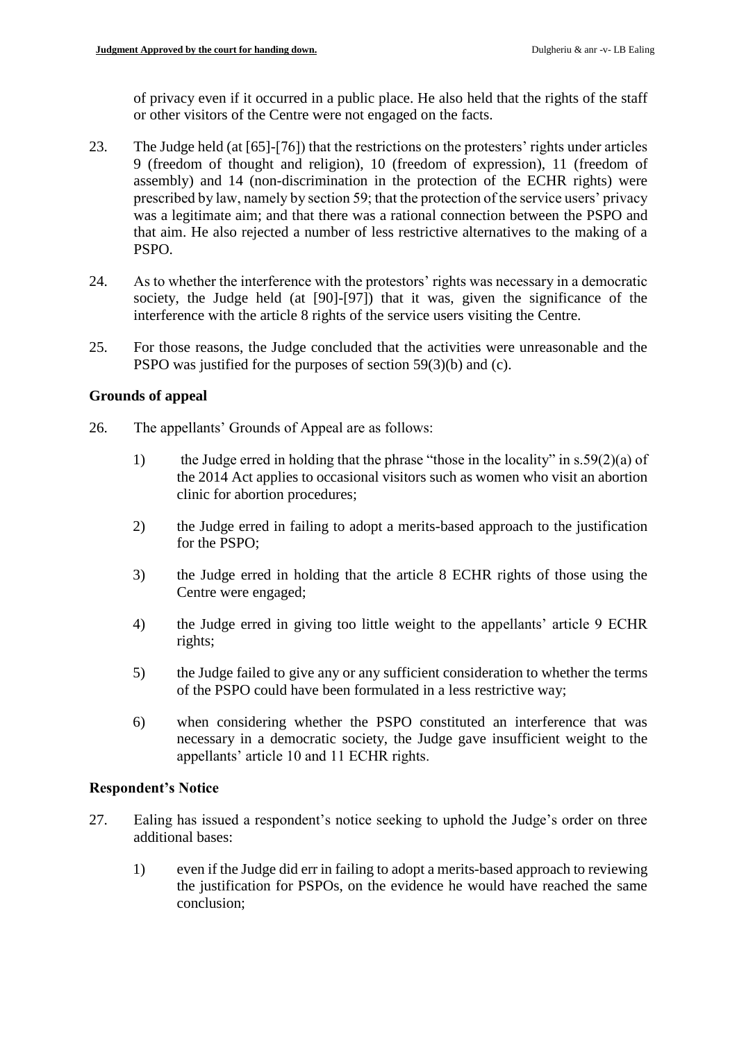of privacy even if it occurred in a public place. He also held that the rights of the staff or other visitors of the Centre were not engaged on the facts.

- 23. The Judge held (at [65]-[76]) that the restrictions on the protesters' rights under articles 9 (freedom of thought and religion), 10 (freedom of expression), 11 (freedom of assembly) and 14 (non-discrimination in the protection of the ECHR rights) were prescribed by law, namely by section 59; that the protection of the service users' privacy was a legitimate aim; and that there was a rational connection between the PSPO and that aim. He also rejected a number of less restrictive alternatives to the making of a PSPO.
- 24. As to whether the interference with the protestors' rights was necessary in a democratic society, the Judge held (at [90]-[97]) that it was, given the significance of the interference with the article 8 rights of the service users visiting the Centre.
- 25. For those reasons, the Judge concluded that the activities were unreasonable and the PSPO was justified for the purposes of section 59(3)(b) and (c).

# **Grounds of appeal**

- 26. The appellants' Grounds of Appeal are as follows:
	- 1) the Judge erred in holding that the phrase "those in the locality" in s.59(2)(a) of the 2014 Act applies to occasional visitors such as women who visit an abortion clinic for abortion procedures;
	- 2) the Judge erred in failing to adopt a merits-based approach to the justification for the PSPO;
	- 3) the Judge erred in holding that the article 8 ECHR rights of those using the Centre were engaged;
	- 4) the Judge erred in giving too little weight to the appellants' article 9 ECHR rights;
	- 5) the Judge failed to give any or any sufficient consideration to whether the terms of the PSPO could have been formulated in a less restrictive way;
	- 6) when considering whether the PSPO constituted an interference that was necessary in a democratic society, the Judge gave insufficient weight to the appellants' article 10 and 11 ECHR rights.

# **Respondent's Notice**

- 27. Ealing has issued a respondent's notice seeking to uphold the Judge's order on three additional bases:
	- 1) even if the Judge did err in failing to adopt a merits-based approach to reviewing the justification for PSPOs, on the evidence he would have reached the same conclusion;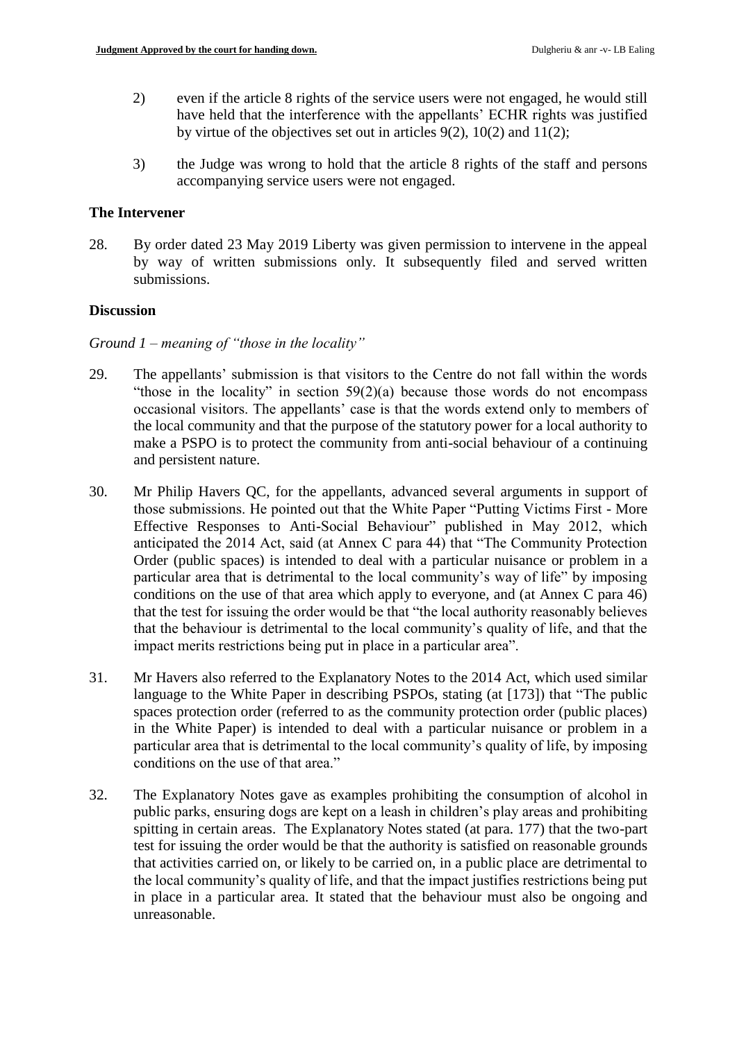- 2) even if the article 8 rights of the service users were not engaged, he would still have held that the interference with the appellants' ECHR rights was justified by virtue of the objectives set out in articles  $9(2)$ ,  $10(2)$  and  $11(2)$ ;
- 3) the Judge was wrong to hold that the article 8 rights of the staff and persons accompanying service users were not engaged.

## **The Intervener**

28. By order dated 23 May 2019 Liberty was given permission to intervene in the appeal by way of written submissions only. It subsequently filed and served written submissions.

# **Discussion**

## *Ground 1 – meaning of "those in the locality"*

- 29. The appellants' submission is that visitors to the Centre do not fall within the words "those in the locality" in section 59(2)(a) because those words do not encompass occasional visitors. The appellants' case is that the words extend only to members of the local community and that the purpose of the statutory power for a local authority to make a PSPO is to protect the community from anti-social behaviour of a continuing and persistent nature.
- 30. Mr Philip Havers QC, for the appellants, advanced several arguments in support of those submissions. He pointed out that the White Paper "Putting Victims First - More Effective Responses to Anti-Social Behaviour" published in May 2012, which anticipated the 2014 Act, said (at Annex C para 44) that "The Community Protection Order (public spaces) is intended to deal with a particular nuisance or problem in a particular area that is detrimental to the local community's way of life" by imposing conditions on the use of that area which apply to everyone, and (at Annex C para 46) that the test for issuing the order would be that "the local authority reasonably believes that the behaviour is detrimental to the local community's quality of life, and that the impact merits restrictions being put in place in a particular area".
- 31. Mr Havers also referred to the Explanatory Notes to the 2014 Act, which used similar language to the White Paper in describing PSPOs, stating (at [173]) that "The public spaces protection order (referred to as the community protection order (public places) in the White Paper) is intended to deal with a particular nuisance or problem in a particular area that is detrimental to the local community's quality of life, by imposing conditions on the use of that area."
- 32. The Explanatory Notes gave as examples prohibiting the consumption of alcohol in public parks, ensuring dogs are kept on a leash in children's play areas and prohibiting spitting in certain areas. The Explanatory Notes stated (at para. 177) that the two-part test for issuing the order would be that the authority is satisfied on reasonable grounds that activities carried on, or likely to be carried on, in a public place are detrimental to the local community's quality of life, and that the impact justifies restrictions being put in place in a particular area. It stated that the behaviour must also be ongoing and unreasonable.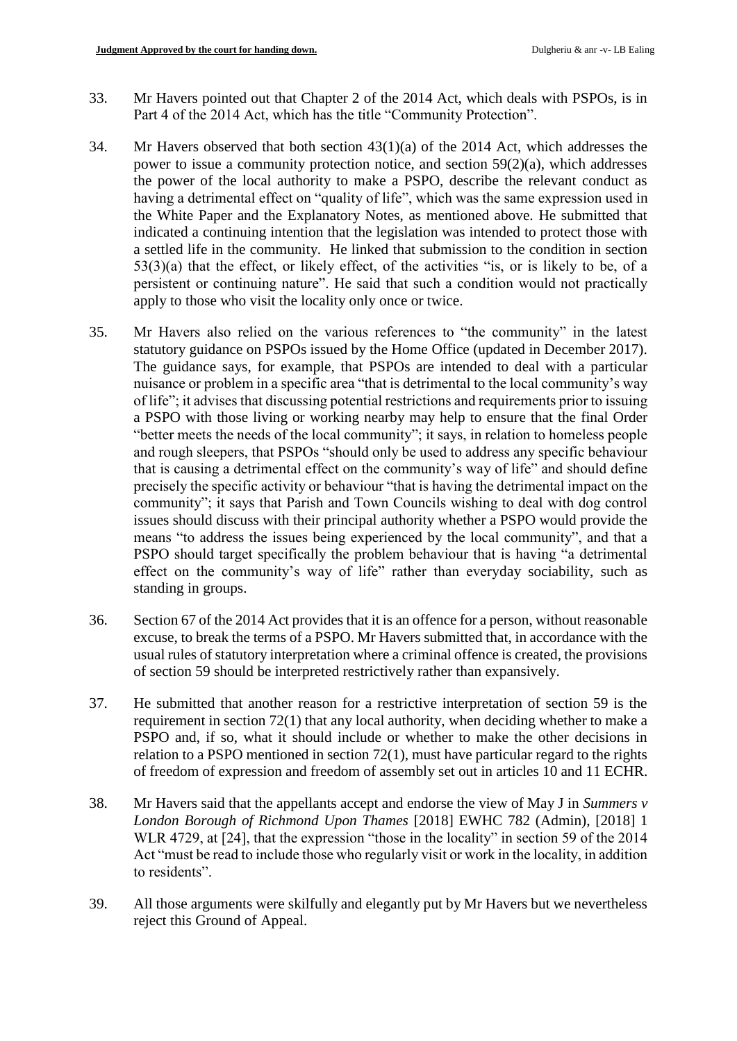- 33. Mr Havers pointed out that Chapter 2 of the 2014 Act, which deals with PSPOs, is in Part 4 of the 2014 Act, which has the title "Community Protection".
- 34. Mr Havers observed that both section 43(1)(a) of the 2014 Act, which addresses the power to issue a community protection notice, and section 59(2)(a), which addresses the power of the local authority to make a PSPO, describe the relevant conduct as having a detrimental effect on "quality of life", which was the same expression used in the White Paper and the Explanatory Notes, as mentioned above. He submitted that indicated a continuing intention that the legislation was intended to protect those with a settled life in the community. He linked that submission to the condition in section 53(3)(a) that the effect, or likely effect, of the activities "is, or is likely to be, of a persistent or continuing nature". He said that such a condition would not practically apply to those who visit the locality only once or twice.
- 35. Mr Havers also relied on the various references to "the community" in the latest statutory guidance on PSPOs issued by the Home Office (updated in December 2017). The guidance says, for example, that PSPOs are intended to deal with a particular nuisance or problem in a specific area "that is detrimental to the local community's way of life"; it advises that discussing potential restrictions and requirements prior to issuing a PSPO with those living or working nearby may help to ensure that the final Order "better meets the needs of the local community"; it says, in relation to homeless people and rough sleepers, that PSPOs "should only be used to address any specific behaviour that is causing a detrimental effect on the community's way of life" and should define precisely the specific activity or behaviour "that is having the detrimental impact on the community"; it says that Parish and Town Councils wishing to deal with dog control issues should discuss with their principal authority whether a PSPO would provide the means "to address the issues being experienced by the local community", and that a PSPO should target specifically the problem behaviour that is having "a detrimental effect on the community's way of life" rather than everyday sociability, such as standing in groups.
- 36. Section 67 of the 2014 Act provides that it is an offence for a person, without reasonable excuse, to break the terms of a PSPO. Mr Havers submitted that, in accordance with the usual rules of statutory interpretation where a criminal offence is created, the provisions of section 59 should be interpreted restrictively rather than expansively.
- 37. He submitted that another reason for a restrictive interpretation of section 59 is the requirement in section 72(1) that any local authority, when deciding whether to make a PSPO and, if so, what it should include or whether to make the other decisions in relation to a PSPO mentioned in section 72(1), must have particular regard to the rights of freedom of expression and freedom of assembly set out in articles 10 and 11 ECHR.
- 38. Mr Havers said that the appellants accept and endorse the view of May J in *Summers v London Borough of Richmond Upon Thames* [2018] EWHC 782 (Admin), [2018] 1 WLR 4729, at [24], that the expression "those in the locality" in section 59 of the 2014 Act "must be read to include those who regularly visit or work in the locality, in addition to residents".
- 39. All those arguments were skilfully and elegantly put by Mr Havers but we nevertheless reject this Ground of Appeal.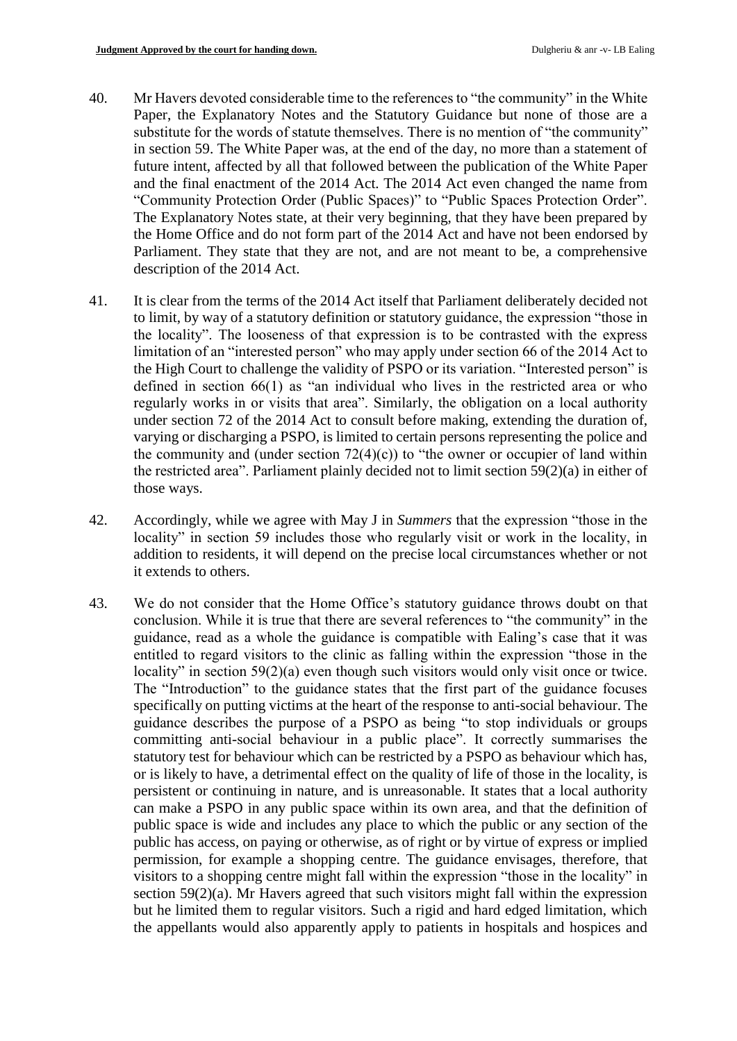- 40. Mr Havers devoted considerable time to the references to "the community" in the White Paper, the Explanatory Notes and the Statutory Guidance but none of those are a substitute for the words of statute themselves. There is no mention of "the community" in section 59. The White Paper was, at the end of the day, no more than a statement of future intent, affected by all that followed between the publication of the White Paper and the final enactment of the 2014 Act. The 2014 Act even changed the name from "Community Protection Order (Public Spaces)" to "Public Spaces Protection Order". The Explanatory Notes state, at their very beginning, that they have been prepared by the Home Office and do not form part of the 2014 Act and have not been endorsed by Parliament. They state that they are not, and are not meant to be, a comprehensive description of the 2014 Act.
- 41. It is clear from the terms of the 2014 Act itself that Parliament deliberately decided not to limit, by way of a statutory definition or statutory guidance, the expression "those in the locality". The looseness of that expression is to be contrasted with the express limitation of an "interested person" who may apply under section 66 of the 2014 Act to the High Court to challenge the validity of PSPO or its variation. "Interested person" is defined in section 66(1) as "an individual who lives in the restricted area or who regularly works in or visits that area". Similarly, the obligation on a local authority under section 72 of the 2014 Act to consult before making, extending the duration of, varying or discharging a PSPO, is limited to certain persons representing the police and the community and (under section  $72(4)(c)$ ) to "the owner or occupier of land within the restricted area". Parliament plainly decided not to limit section 59(2)(a) in either of those ways.
- 42. Accordingly, while we agree with May J in *Summers* that the expression "those in the locality" in section 59 includes those who regularly visit or work in the locality, in addition to residents, it will depend on the precise local circumstances whether or not it extends to others.
- 43. We do not consider that the Home Office's statutory guidance throws doubt on that conclusion. While it is true that there are several references to "the community" in the guidance, read as a whole the guidance is compatible with Ealing's case that it was entitled to regard visitors to the clinic as falling within the expression "those in the locality" in section 59(2)(a) even though such visitors would only visit once or twice. The "Introduction" to the guidance states that the first part of the guidance focuses specifically on putting victims at the heart of the response to anti-social behaviour. The guidance describes the purpose of a PSPO as being "to stop individuals or groups committing anti-social behaviour in a public place". It correctly summarises the statutory test for behaviour which can be restricted by a PSPO as behaviour which has, or is likely to have, a detrimental effect on the quality of life of those in the locality, is persistent or continuing in nature, and is unreasonable. It states that a local authority can make a PSPO in any public space within its own area, and that the definition of public space is wide and includes any place to which the public or any section of the public has access, on paying or otherwise, as of right or by virtue of express or implied permission, for example a shopping centre. The guidance envisages, therefore, that visitors to a shopping centre might fall within the expression "those in the locality" in section 59(2)(a). Mr Havers agreed that such visitors might fall within the expression but he limited them to regular visitors. Such a rigid and hard edged limitation, which the appellants would also apparently apply to patients in hospitals and hospices and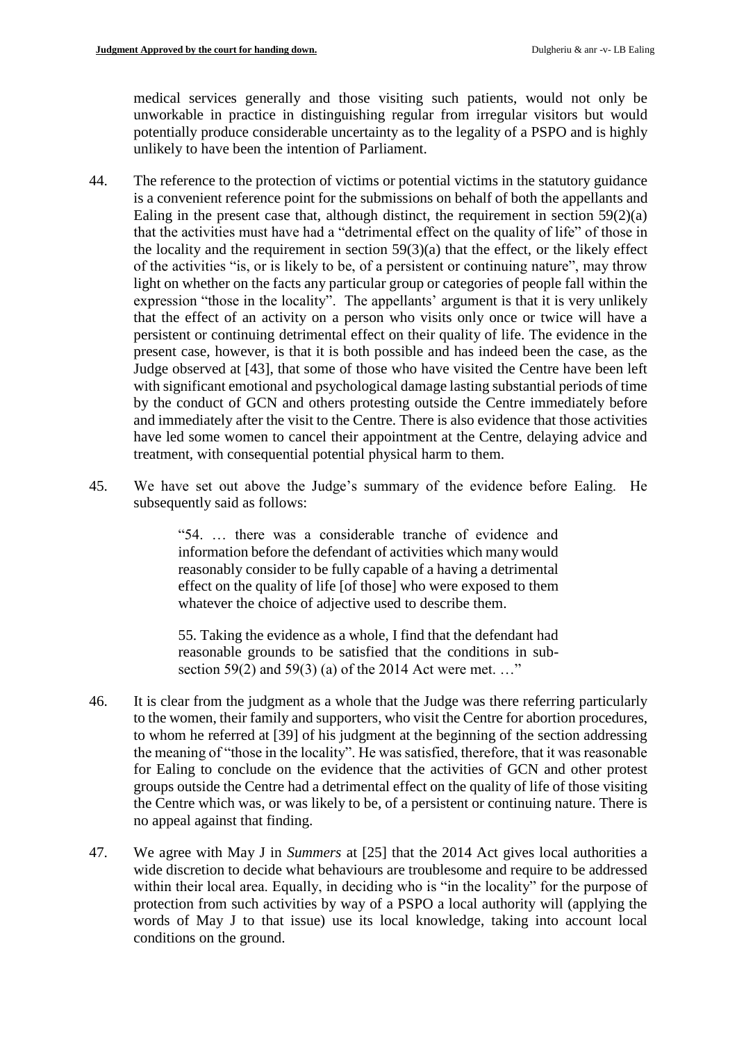medical services generally and those visiting such patients, would not only be unworkable in practice in distinguishing regular from irregular visitors but would potentially produce considerable uncertainty as to the legality of a PSPO and is highly unlikely to have been the intention of Parliament.

- 44. The reference to the protection of victims or potential victims in the statutory guidance is a convenient reference point for the submissions on behalf of both the appellants and Ealing in the present case that, although distinct, the requirement in section  $59(2)(a)$ that the activities must have had a "detrimental effect on the quality of life" of those in the locality and the requirement in section  $59(3)(a)$  that the effect, or the likely effect of the activities "is, or is likely to be, of a persistent or continuing nature", may throw light on whether on the facts any particular group or categories of people fall within the expression "those in the locality". The appellants' argument is that it is very unlikely that the effect of an activity on a person who visits only once or twice will have a persistent or continuing detrimental effect on their quality of life. The evidence in the present case, however, is that it is both possible and has indeed been the case, as the Judge observed at [43], that some of those who have visited the Centre have been left with significant emotional and psychological damage lasting substantial periods of time by the conduct of GCN and others protesting outside the Centre immediately before and immediately after the visit to the Centre. There is also evidence that those activities have led some women to cancel their appointment at the Centre, delaying advice and treatment, with consequential potential physical harm to them.
- 45. We have set out above the Judge's summary of the evidence before Ealing. He subsequently said as follows:

"54. … there was a considerable tranche of evidence and information before the defendant of activities which many would reasonably consider to be fully capable of a having a detrimental effect on the quality of life [of those] who were exposed to them whatever the choice of adjective used to describe them.

55. Taking the evidence as a whole, I find that the defendant had reasonable grounds to be satisfied that the conditions in subsection 59(2) and 59(3) (a) of the 2014 Act were met. ..."

- 46. It is clear from the judgment as a whole that the Judge was there referring particularly to the women, their family and supporters, who visit the Centre for abortion procedures, to whom he referred at [39] of his judgment at the beginning of the section addressing the meaning of "those in the locality". He was satisfied, therefore, that it was reasonable for Ealing to conclude on the evidence that the activities of GCN and other protest groups outside the Centre had a detrimental effect on the quality of life of those visiting the Centre which was, or was likely to be, of a persistent or continuing nature. There is no appeal against that finding.
- 47. We agree with May J in *Summers* at [25] that the 2014 Act gives local authorities a wide discretion to decide what behaviours are troublesome and require to be addressed within their local area. Equally, in deciding who is "in the locality" for the purpose of protection from such activities by way of a PSPO a local authority will (applying the words of May J to that issue) use its local knowledge, taking into account local conditions on the ground.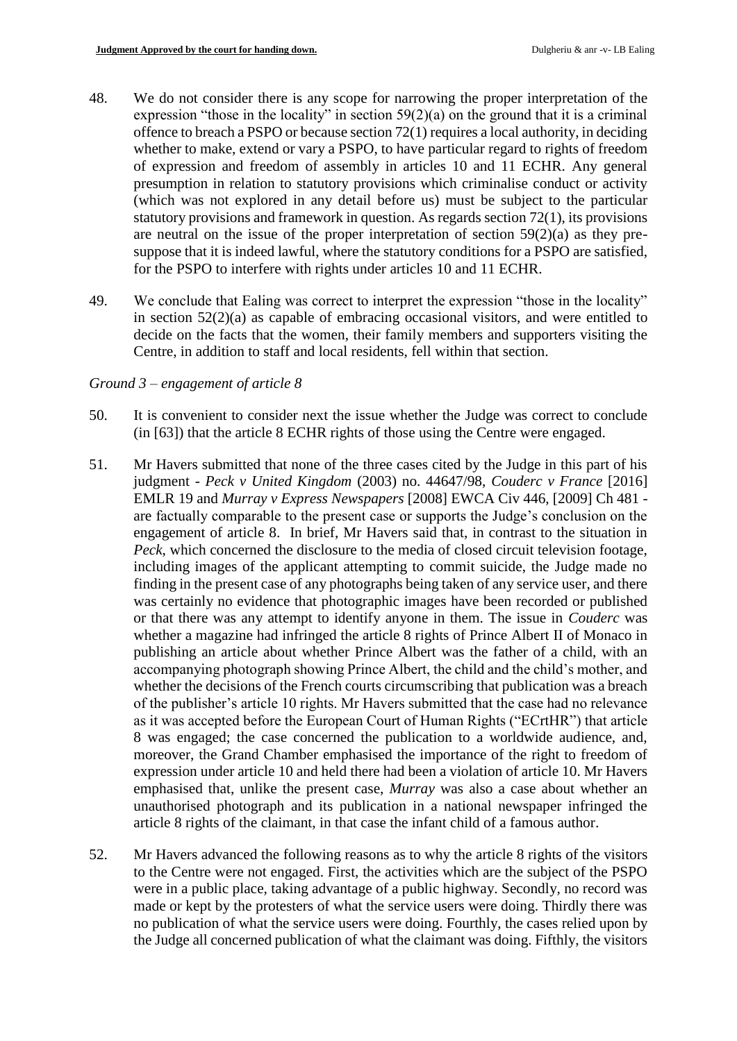- 48. We do not consider there is any scope for narrowing the proper interpretation of the expression "those in the locality" in section  $59(2)(a)$  on the ground that it is a criminal offence to breach a PSPO or because section 72(1) requires a local authority, in deciding whether to make, extend or vary a PSPO, to have particular regard to rights of freedom of expression and freedom of assembly in articles 10 and 11 ECHR. Any general presumption in relation to statutory provisions which criminalise conduct or activity (which was not explored in any detail before us) must be subject to the particular statutory provisions and framework in question. As regards section 72(1), its provisions are neutral on the issue of the proper interpretation of section  $59(2)(a)$  as they presuppose that it is indeed lawful, where the statutory conditions for a PSPO are satisfied, for the PSPO to interfere with rights under articles 10 and 11 ECHR.
- 49. We conclude that Ealing was correct to interpret the expression "those in the locality" in section  $52(2)(a)$  as capable of embracing occasional visitors, and were entitled to decide on the facts that the women, their family members and supporters visiting the Centre, in addition to staff and local residents, fell within that section.

### *Ground 3 – engagement of article 8*

- 50. It is convenient to consider next the issue whether the Judge was correct to conclude (in [63]) that the article 8 ECHR rights of those using the Centre were engaged.
- 51. Mr Havers submitted that none of the three cases cited by the Judge in this part of his judgment - *Peck v United Kingdom* (2003) no. 44647/98, *Couderc v France* [2016] EMLR 19 and *Murray v Express Newspapers* [2008] EWCA Civ 446, [2009] Ch 481 are factually comparable to the present case or supports the Judge's conclusion on the engagement of article 8. In brief, Mr Havers said that, in contrast to the situation in *Peck*, which concerned the disclosure to the media of closed circuit television footage, including images of the applicant attempting to commit suicide, the Judge made no finding in the present case of any photographs being taken of any service user, and there was certainly no evidence that photographic images have been recorded or published or that there was any attempt to identify anyone in them. The issue in *Couderc* was whether a magazine had infringed the article 8 rights of Prince Albert II of Monaco in publishing an article about whether Prince Albert was the father of a child, with an accompanying photograph showing Prince Albert, the child and the child's mother, and whether the decisions of the French courts circumscribing that publication was a breach of the publisher's article 10 rights. Mr Havers submitted that the case had no relevance as it was accepted before the European Court of Human Rights ("ECrtHR") that article 8 was engaged; the case concerned the publication to a worldwide audience, and, moreover, the Grand Chamber emphasised the importance of the right to freedom of expression under article 10 and held there had been a violation of article 10. Mr Havers emphasised that, unlike the present case, *Murray* was also a case about whether an unauthorised photograph and its publication in a national newspaper infringed the article 8 rights of the claimant, in that case the infant child of a famous author.
- 52. Mr Havers advanced the following reasons as to why the article 8 rights of the visitors to the Centre were not engaged. First, the activities which are the subject of the PSPO were in a public place, taking advantage of a public highway. Secondly, no record was made or kept by the protesters of what the service users were doing. Thirdly there was no publication of what the service users were doing. Fourthly, the cases relied upon by the Judge all concerned publication of what the claimant was doing. Fifthly, the visitors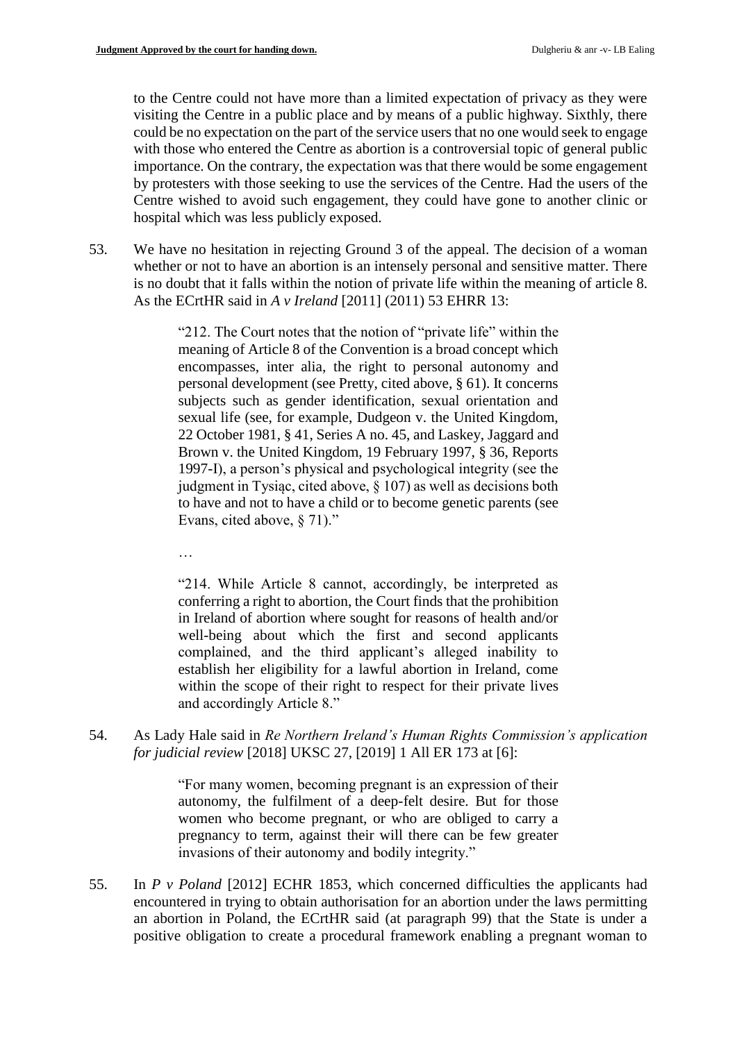to the Centre could not have more than a limited expectation of privacy as they were visiting the Centre in a public place and by means of a public highway. Sixthly, there could be no expectation on the part of the service users that no one would seek to engage with those who entered the Centre as abortion is a controversial topic of general public importance. On the contrary, the expectation was that there would be some engagement by protesters with those seeking to use the services of the Centre. Had the users of the Centre wished to avoid such engagement, they could have gone to another clinic or hospital which was less publicly exposed.

53. We have no hesitation in rejecting Ground 3 of the appeal. The decision of a woman whether or not to have an abortion is an intensely personal and sensitive matter. There is no doubt that it falls within the notion of private life within the meaning of article 8. As the ECrtHR said in *A v Ireland* [2011] (2011) 53 EHRR 13:

> "212. The Court notes that the notion of "private life" within the meaning of Article 8 of the Convention is a broad concept which encompasses, inter alia, the right to personal autonomy and personal development (see Pretty, cited above, § 61). It concerns subjects such as gender identification, sexual orientation and sexual life (see, for example, Dudgeon v. the United Kingdom, 22 October 1981, § 41, Series A no. 45, and Laskey, Jaggard and Brown v. the United Kingdom, 19 February 1997, § 36, Reports 1997-I), a person's physical and psychological integrity (see the judgment in Tysiąc, cited above, § 107) as well as decisions both to have and not to have a child or to become genetic parents (see Evans, cited above, § 71)."

…

"214. While Article 8 cannot, accordingly, be interpreted as conferring a right to abortion, the Court finds that the prohibition in Ireland of abortion where sought for reasons of health and/or well-being about which the first and second applicants complained, and the third applicant's alleged inability to establish her eligibility for a lawful abortion in Ireland, come within the scope of their right to respect for their private lives and accordingly Article 8."

54. As Lady Hale said in *Re Northern Ireland's Human Rights Commission's application for judicial review* [2018] UKSC 27, [2019] 1 All ER 173 at [6]:

> "For many women, becoming pregnant is an expression of their autonomy, the fulfilment of a deep-felt desire. But for those women who become pregnant, or who are obliged to carry a pregnancy to term, against their will there can be few greater invasions of their autonomy and bodily integrity."

55. In *P v Poland* [2012] ECHR 1853, which concerned difficulties the applicants had encountered in trying to obtain authorisation for an abortion under the laws permitting an abortion in Poland, the ECrtHR said (at paragraph 99) that the State is under a positive obligation to create a procedural framework enabling a pregnant woman to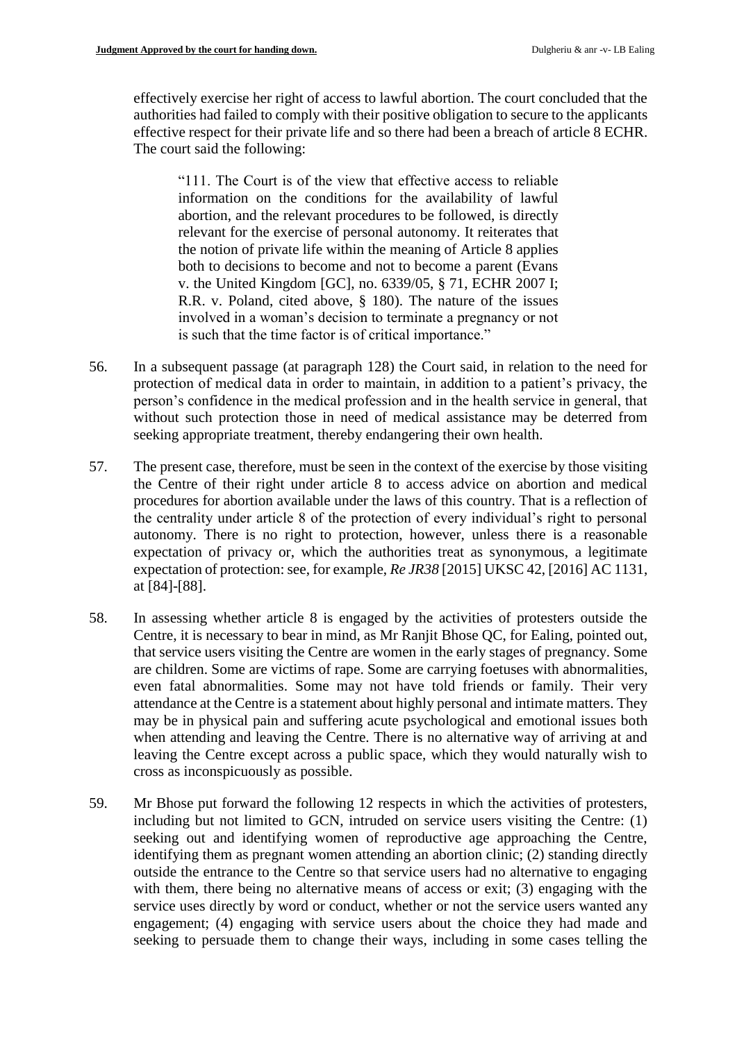effectively exercise her right of access to lawful abortion. The court concluded that the authorities had failed to comply with their positive obligation to secure to the applicants effective respect for their private life and so there had been a breach of article 8 ECHR. The court said the following:

"111. The Court is of the view that effective access to reliable information on the conditions for the availability of lawful abortion, and the relevant procedures to be followed, is directly relevant for the exercise of personal autonomy. It reiterates that the notion of private life within the meaning of Article 8 applies both to decisions to become and not to become a parent (Evans v. the United Kingdom [GC], no. 6339/05, § 71, ECHR 2007 I; R.R. v. Poland, cited above, § 180). The nature of the issues involved in a woman's decision to terminate a pregnancy or not is such that the time factor is of critical importance."

- 56. In a subsequent passage (at paragraph 128) the Court said, in relation to the need for protection of medical data in order to maintain, in addition to a patient's privacy, the person's confidence in the medical profession and in the health service in general, that without such protection those in need of medical assistance may be deterred from seeking appropriate treatment, thereby endangering their own health.
- 57. The present case, therefore, must be seen in the context of the exercise by those visiting the Centre of their right under article 8 to access advice on abortion and medical procedures for abortion available under the laws of this country. That is a reflection of the centrality under article 8 of the protection of every individual's right to personal autonomy. There is no right to protection, however, unless there is a reasonable expectation of privacy or, which the authorities treat as synonymous, a legitimate expectation of protection: see, for example, *Re JR38* [2015] UKSC 42, [2016] AC 1131, at [84]-[88].
- 58. In assessing whether article 8 is engaged by the activities of protesters outside the Centre, it is necessary to bear in mind, as Mr Ranjit Bhose QC, for Ealing, pointed out, that service users visiting the Centre are women in the early stages of pregnancy. Some are children. Some are victims of rape. Some are carrying foetuses with abnormalities, even fatal abnormalities. Some may not have told friends or family. Their very attendance at the Centre is a statement about highly personal and intimate matters. They may be in physical pain and suffering acute psychological and emotional issues both when attending and leaving the Centre. There is no alternative way of arriving at and leaving the Centre except across a public space, which they would naturally wish to cross as inconspicuously as possible.
- 59. Mr Bhose put forward the following 12 respects in which the activities of protesters, including but not limited to GCN, intruded on service users visiting the Centre: (1) seeking out and identifying women of reproductive age approaching the Centre, identifying them as pregnant women attending an abortion clinic; (2) standing directly outside the entrance to the Centre so that service users had no alternative to engaging with them, there being no alternative means of access or exit; (3) engaging with the service uses directly by word or conduct, whether or not the service users wanted any engagement; (4) engaging with service users about the choice they had made and seeking to persuade them to change their ways, including in some cases telling the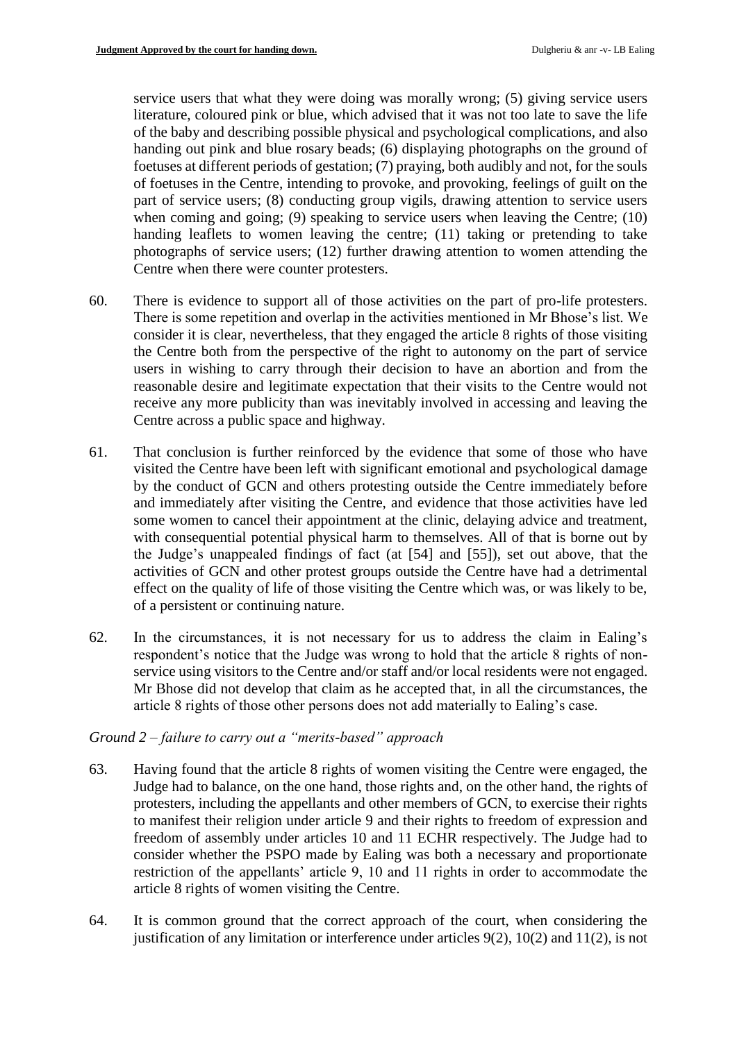service users that what they were doing was morally wrong; (5) giving service users literature, coloured pink or blue, which advised that it was not too late to save the life of the baby and describing possible physical and psychological complications, and also handing out pink and blue rosary beads; (6) displaying photographs on the ground of foetuses at different periods of gestation; (7) praying, both audibly and not, for the souls of foetuses in the Centre, intending to provoke, and provoking, feelings of guilt on the part of service users; (8) conducting group vigils, drawing attention to service users when coming and going; (9) speaking to service users when leaving the Centre; (10) handing leaflets to women leaving the centre; (11) taking or pretending to take photographs of service users; (12) further drawing attention to women attending the Centre when there were counter protesters.

- 60. There is evidence to support all of those activities on the part of pro-life protesters. There is some repetition and overlap in the activities mentioned in Mr Bhose's list. We consider it is clear, nevertheless, that they engaged the article 8 rights of those visiting the Centre both from the perspective of the right to autonomy on the part of service users in wishing to carry through their decision to have an abortion and from the reasonable desire and legitimate expectation that their visits to the Centre would not receive any more publicity than was inevitably involved in accessing and leaving the Centre across a public space and highway.
- 61. That conclusion is further reinforced by the evidence that some of those who have visited the Centre have been left with significant emotional and psychological damage by the conduct of GCN and others protesting outside the Centre immediately before and immediately after visiting the Centre, and evidence that those activities have led some women to cancel their appointment at the clinic, delaying advice and treatment, with consequential potential physical harm to themselves. All of that is borne out by the Judge's unappealed findings of fact (at [54] and [55]), set out above, that the activities of GCN and other protest groups outside the Centre have had a detrimental effect on the quality of life of those visiting the Centre which was, or was likely to be, of a persistent or continuing nature.
- 62. In the circumstances, it is not necessary for us to address the claim in Ealing's respondent's notice that the Judge was wrong to hold that the article 8 rights of nonservice using visitors to the Centre and/or staff and/or local residents were not engaged. Mr Bhose did not develop that claim as he accepted that, in all the circumstances, the article 8 rights of those other persons does not add materially to Ealing's case.

# *Ground 2 – failure to carry out a "merits-based" approach*

- 63. Having found that the article 8 rights of women visiting the Centre were engaged, the Judge had to balance, on the one hand, those rights and, on the other hand, the rights of protesters, including the appellants and other members of GCN, to exercise their rights to manifest their religion under article 9 and their rights to freedom of expression and freedom of assembly under articles 10 and 11 ECHR respectively. The Judge had to consider whether the PSPO made by Ealing was both a necessary and proportionate restriction of the appellants' article 9, 10 and 11 rights in order to accommodate the article 8 rights of women visiting the Centre.
- 64. It is common ground that the correct approach of the court, when considering the justification of any limitation or interference under articles 9(2), 10(2) and 11(2), is not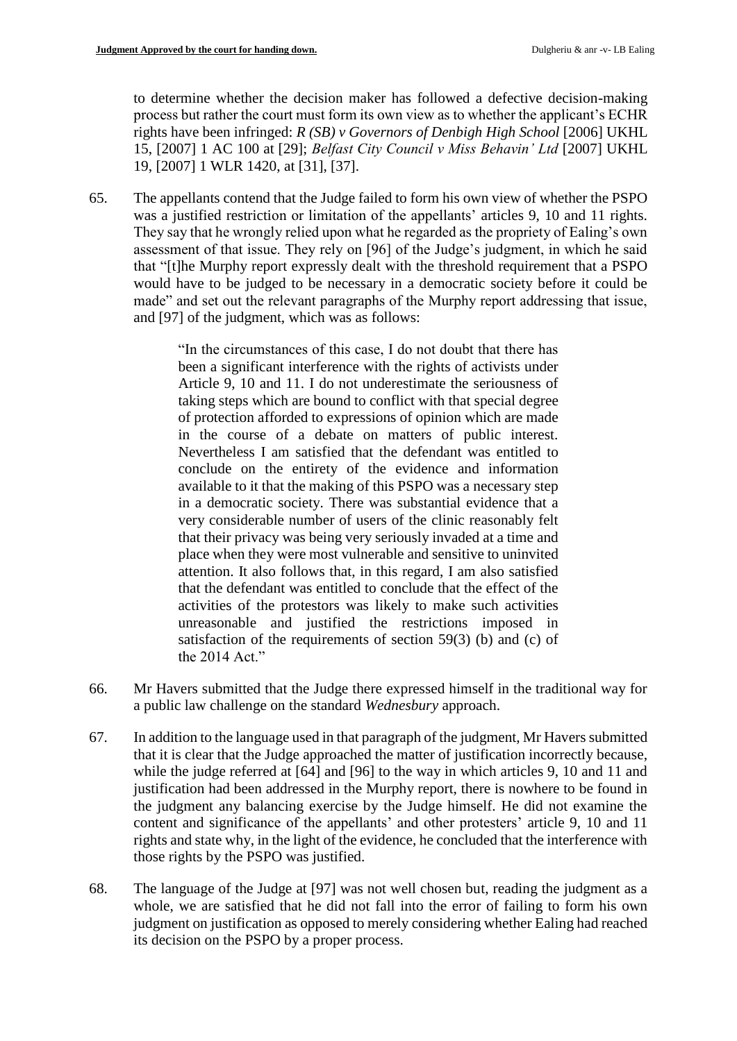to determine whether the decision maker has followed a defective decision-making process but rather the court must form its own view as to whether the applicant's ECHR rights have been infringed: *R (SB) v Governors of Denbigh High School* [2006] UKHL 15, [2007] 1 AC 100 at [29]; *Belfast City Council v Miss Behavin' Ltd* [2007] UKHL 19, [2007] 1 WLR 1420, at [31], [37].

65. The appellants contend that the Judge failed to form his own view of whether the PSPO was a justified restriction or limitation of the appellants' articles 9, 10 and 11 rights. They say that he wrongly relied upon what he regarded as the propriety of Ealing's own assessment of that issue. They rely on [96] of the Judge's judgment, in which he said that "[t]he Murphy report expressly dealt with the threshold requirement that a PSPO would have to be judged to be necessary in a democratic society before it could be made" and set out the relevant paragraphs of the Murphy report addressing that issue, and [97] of the judgment, which was as follows:

> "In the circumstances of this case, I do not doubt that there has been a significant interference with the rights of activists under Article 9, 10 and 11. I do not underestimate the seriousness of taking steps which are bound to conflict with that special degree of protection afforded to expressions of opinion which are made in the course of a debate on matters of public interest. Nevertheless I am satisfied that the defendant was entitled to conclude on the entirety of the evidence and information available to it that the making of this PSPO was a necessary step in a democratic society. There was substantial evidence that a very considerable number of users of the clinic reasonably felt that their privacy was being very seriously invaded at a time and place when they were most vulnerable and sensitive to uninvited attention. It also follows that, in this regard, I am also satisfied that the defendant was entitled to conclude that the effect of the activities of the protestors was likely to make such activities unreasonable and justified the restrictions imposed in satisfaction of the requirements of section 59(3) (b) and (c) of the 2014 Act."

- 66. Mr Havers submitted that the Judge there expressed himself in the traditional way for a public law challenge on the standard *Wednesbury* approach.
- 67. In addition to the language used in that paragraph of the judgment, Mr Havers submitted that it is clear that the Judge approached the matter of justification incorrectly because, while the judge referred at [64] and [96] to the way in which articles 9, 10 and 11 and justification had been addressed in the Murphy report, there is nowhere to be found in the judgment any balancing exercise by the Judge himself. He did not examine the content and significance of the appellants' and other protesters' article 9, 10 and 11 rights and state why, in the light of the evidence, he concluded that the interference with those rights by the PSPO was justified.
- 68. The language of the Judge at [97] was not well chosen but, reading the judgment as a whole, we are satisfied that he did not fall into the error of failing to form his own judgment on justification as opposed to merely considering whether Ealing had reached its decision on the PSPO by a proper process.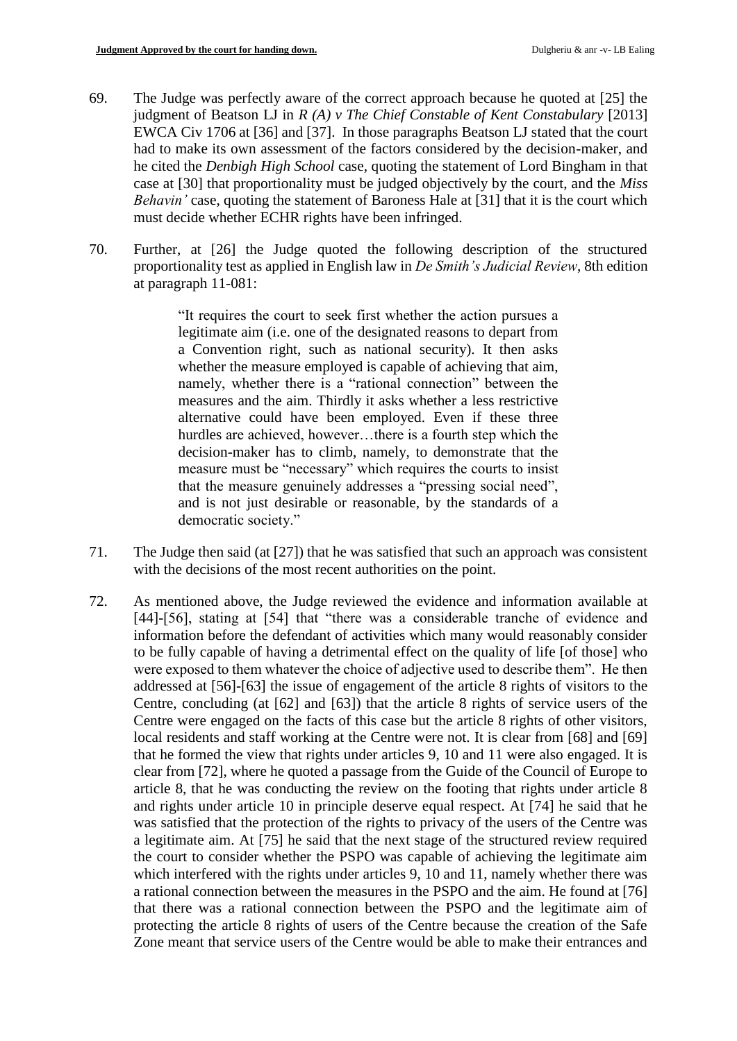- 69. The Judge was perfectly aware of the correct approach because he quoted at [25] the judgment of Beatson LJ in *R (A) v The Chief Constable of Kent Constabulary* [2013] EWCA Civ 1706 at [36] and [37]. In those paragraphs Beatson LJ stated that the court had to make its own assessment of the factors considered by the decision-maker, and he cited the *Denbigh High School* case, quoting the statement of Lord Bingham in that case at [30] that proportionality must be judged objectively by the court, and the *Miss Behavin'* case, quoting the statement of Baroness Hale at [31] that it is the court which must decide whether ECHR rights have been infringed.
- 70. Further, at [26] the Judge quoted the following description of the structured proportionality test as applied in English law in *De Smith's Judicial Review*, 8th edition at paragraph 11-081:

"It requires the court to seek first whether the action pursues a legitimate aim (i.e. one of the designated reasons to depart from a Convention right, such as national security). It then asks whether the measure employed is capable of achieving that aim, namely, whether there is a "rational connection" between the measures and the aim. Thirdly it asks whether a less restrictive alternative could have been employed. Even if these three hurdles are achieved, however…there is a fourth step which the decision-maker has to climb, namely, to demonstrate that the measure must be "necessary" which requires the courts to insist that the measure genuinely addresses a "pressing social need", and is not just desirable or reasonable, by the standards of a democratic society."

- 71. The Judge then said (at [27]) that he was satisfied that such an approach was consistent with the decisions of the most recent authorities on the point.
- 72. As mentioned above, the Judge reviewed the evidence and information available at [44]-[56], stating at [54] that "there was a considerable tranche of evidence and information before the defendant of activities which many would reasonably consider to be fully capable of having a detrimental effect on the quality of life [of those] who were exposed to them whatever the choice of adjective used to describe them". He then addressed at [56]-[63] the issue of engagement of the article 8 rights of visitors to the Centre, concluding (at [62] and [63]) that the article 8 rights of service users of the Centre were engaged on the facts of this case but the article 8 rights of other visitors, local residents and staff working at the Centre were not. It is clear from [68] and [69] that he formed the view that rights under articles 9, 10 and 11 were also engaged. It is clear from [72], where he quoted a passage from the Guide of the Council of Europe to article 8, that he was conducting the review on the footing that rights under article 8 and rights under article 10 in principle deserve equal respect. At [74] he said that he was satisfied that the protection of the rights to privacy of the users of the Centre was a legitimate aim. At [75] he said that the next stage of the structured review required the court to consider whether the PSPO was capable of achieving the legitimate aim which interfered with the rights under articles 9, 10 and 11, namely whether there was a rational connection between the measures in the PSPO and the aim. He found at [76] that there was a rational connection between the PSPO and the legitimate aim of protecting the article 8 rights of users of the Centre because the creation of the Safe Zone meant that service users of the Centre would be able to make their entrances and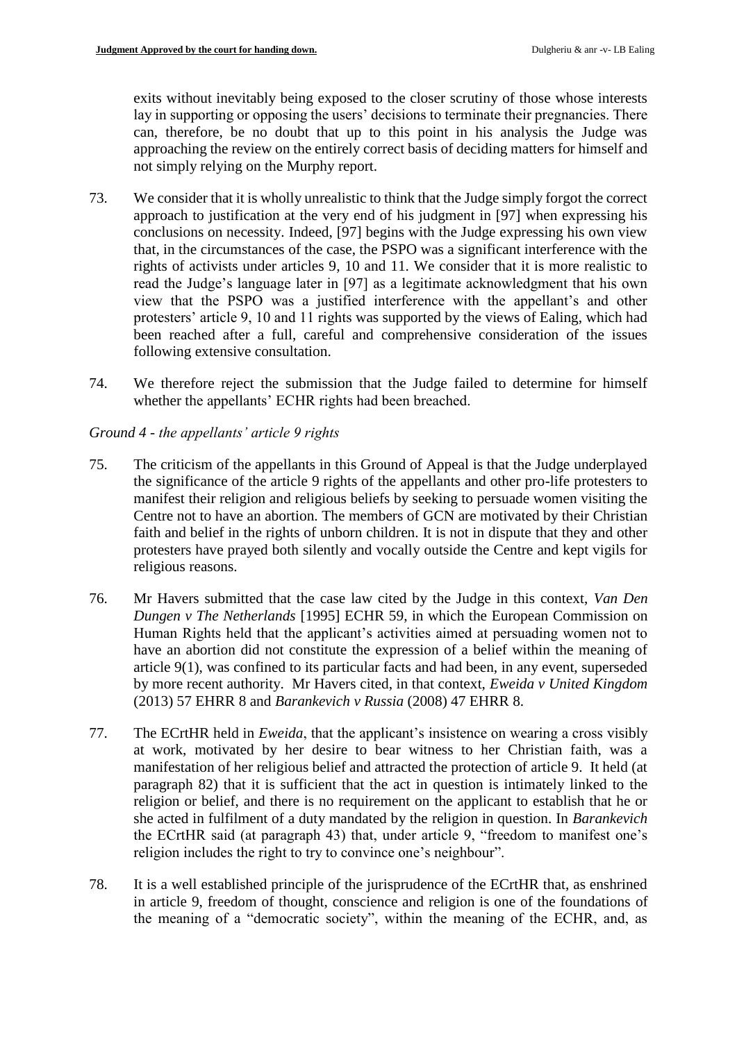exits without inevitably being exposed to the closer scrutiny of those whose interests lay in supporting or opposing the users' decisions to terminate their pregnancies. There can, therefore, be no doubt that up to this point in his analysis the Judge was approaching the review on the entirely correct basis of deciding matters for himself and not simply relying on the Murphy report.

- 73. We consider that it is wholly unrealistic to think that the Judge simply forgot the correct approach to justification at the very end of his judgment in [97] when expressing his conclusions on necessity. Indeed, [97] begins with the Judge expressing his own view that, in the circumstances of the case, the PSPO was a significant interference with the rights of activists under articles 9, 10 and 11. We consider that it is more realistic to read the Judge's language later in [97] as a legitimate acknowledgment that his own view that the PSPO was a justified interference with the appellant's and other protesters' article 9, 10 and 11 rights was supported by the views of Ealing, which had been reached after a full, careful and comprehensive consideration of the issues following extensive consultation.
- 74. We therefore reject the submission that the Judge failed to determine for himself whether the appellants' ECHR rights had been breached.

# *Ground 4 - the appellants' article 9 rights*

- 75. The criticism of the appellants in this Ground of Appeal is that the Judge underplayed the significance of the article 9 rights of the appellants and other pro-life protesters to manifest their religion and religious beliefs by seeking to persuade women visiting the Centre not to have an abortion. The members of GCN are motivated by their Christian faith and belief in the rights of unborn children. It is not in dispute that they and other protesters have prayed both silently and vocally outside the Centre and kept vigils for religious reasons.
- 76. Mr Havers submitted that the case law cited by the Judge in this context, *Van Den Dungen v The Netherlands* [1995] ECHR 59, in which the European Commission on Human Rights held that the applicant's activities aimed at persuading women not to have an abortion did not constitute the expression of a belief within the meaning of article 9(1), was confined to its particular facts and had been, in any event, superseded by more recent authority. Mr Havers cited, in that context, *Eweida v United Kingdom* (2013) 57 EHRR 8 and *Barankevich v Russia* (2008) 47 EHRR 8.
- 77. The ECrtHR held in *Eweida*, that the applicant's insistence on wearing a cross visibly at work, motivated by her desire to bear witness to her Christian faith, was a manifestation of her religious belief and attracted the protection of article 9. It held (at paragraph 82) that it is sufficient that the act in question is intimately linked to the religion or belief, and there is no requirement on the applicant to establish that he or she acted in fulfilment of a duty mandated by the religion in question. In *Barankevich* the ECrtHR said (at paragraph 43) that, under article 9, "freedom to manifest one's religion includes the right to try to convince one's neighbour".
- 78. It is a well established principle of the jurisprudence of the ECrtHR that, as enshrined in article 9, freedom of thought, conscience and religion is one of the foundations of the meaning of a "democratic society", within the meaning of the ECHR, and, as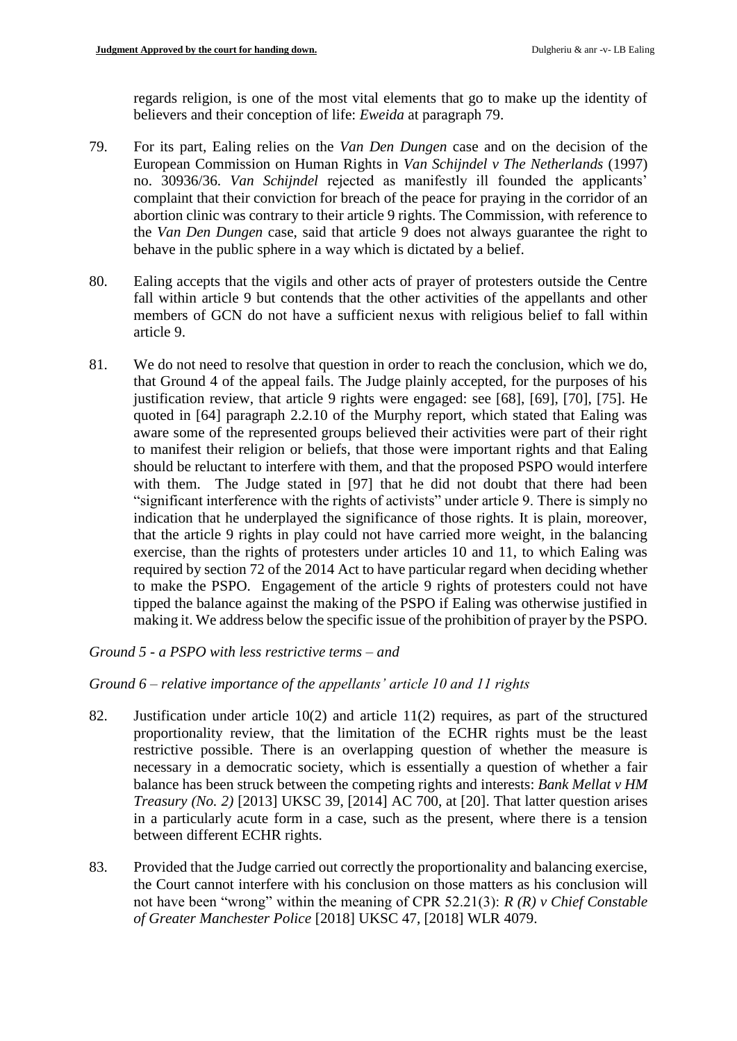regards religion, is one of the most vital elements that go to make up the identity of believers and their conception of life: *Eweida* at paragraph 79.

- 79. For its part, Ealing relies on the *Van Den Dungen* case and on the decision of the European Commission on Human Rights in *Van Schijndel v The Netherlands* (1997) no. 30936/36. *Van Schijndel* rejected as manifestly ill founded the applicants' complaint that their conviction for breach of the peace for praying in the corridor of an abortion clinic was contrary to their article 9 rights. The Commission, with reference to the *Van Den Dungen* case, said that article 9 does not always guarantee the right to behave in the public sphere in a way which is dictated by a belief.
- 80. Ealing accepts that the vigils and other acts of prayer of protesters outside the Centre fall within article 9 but contends that the other activities of the appellants and other members of GCN do not have a sufficient nexus with religious belief to fall within article 9.
- 81. We do not need to resolve that question in order to reach the conclusion, which we do, that Ground 4 of the appeal fails. The Judge plainly accepted, for the purposes of his justification review, that article 9 rights were engaged: see [68], [69], [70], [75]. He quoted in [64] paragraph 2.2.10 of the Murphy report, which stated that Ealing was aware some of the represented groups believed their activities were part of their right to manifest their religion or beliefs, that those were important rights and that Ealing should be reluctant to interfere with them, and that the proposed PSPO would interfere with them. The Judge stated in [97] that he did not doubt that there had been "significant interference with the rights of activists" under article 9. There is simply no indication that he underplayed the significance of those rights. It is plain, moreover, that the article 9 rights in play could not have carried more weight, in the balancing exercise, than the rights of protesters under articles 10 and 11, to which Ealing was required by section 72 of the 2014 Act to have particular regard when deciding whether to make the PSPO. Engagement of the article 9 rights of protesters could not have tipped the balance against the making of the PSPO if Ealing was otherwise justified in making it. We address below the specific issue of the prohibition of prayer by the PSPO.

# *Ground 5 - a PSPO with less restrictive terms – and*

## *Ground 6 – relative importance of the appellants' article 10 and 11 rights*

- 82. Justification under article 10(2) and article 11(2) requires, as part of the structured proportionality review, that the limitation of the ECHR rights must be the least restrictive possible. There is an overlapping question of whether the measure is necessary in a democratic society, which is essentially a question of whether a fair balance has been struck between the competing rights and interests: *Bank Mellat v HM Treasury (No. 2)* [2013] UKSC 39, [2014] AC 700, at [20]. That latter question arises in a particularly acute form in a case, such as the present, where there is a tension between different ECHR rights.
- 83. Provided that the Judge carried out correctly the proportionality and balancing exercise, the Court cannot interfere with his conclusion on those matters as his conclusion will not have been "wrong" within the meaning of CPR 52.21(3): *R (R) v Chief Constable of Greater Manchester Police* [2018] UKSC 47, [2018] WLR 4079.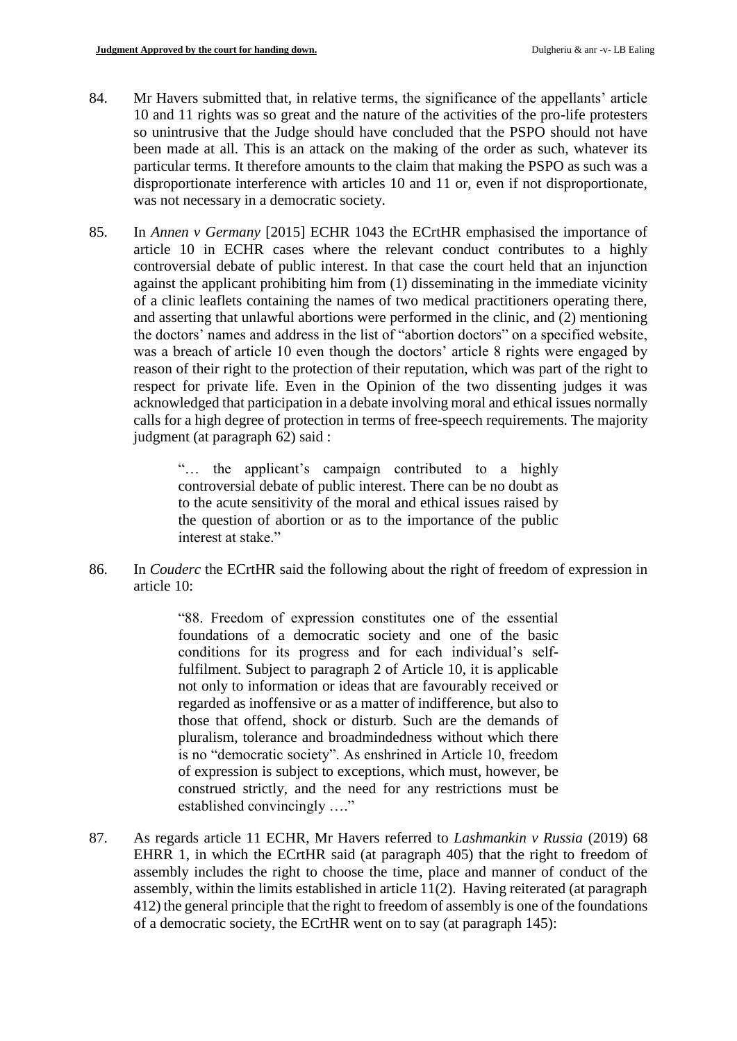- 84. Mr Havers submitted that, in relative terms, the significance of the appellants' article 10 and 11 rights was so great and the nature of the activities of the pro-life protesters so unintrusive that the Judge should have concluded that the PSPO should not have been made at all. This is an attack on the making of the order as such, whatever its particular terms. It therefore amounts to the claim that making the PSPO as such was a disproportionate interference with articles 10 and 11 or, even if not disproportionate, was not necessary in a democratic society.
- 85. In *Annen v Germany* [2015] ECHR 1043 the ECrtHR emphasised the importance of article 10 in ECHR cases where the relevant conduct contributes to a highly controversial debate of public interest. In that case the court held that an injunction against the applicant prohibiting him from (1) disseminating in the immediate vicinity of a clinic leaflets containing the names of two medical practitioners operating there, and asserting that unlawful abortions were performed in the clinic, and (2) mentioning the doctors' names and address in the list of "abortion doctors" on a specified website, was a breach of article 10 even though the doctors' article 8 rights were engaged by reason of their right to the protection of their reputation, which was part of the right to respect for private life. Even in the Opinion of the two dissenting judges it was acknowledged that participation in a debate involving moral and ethical issues normally calls for a high degree of protection in terms of free-speech requirements. The majority judgment (at paragraph 62) said :

"… the applicant's campaign contributed to a highly controversial debate of public interest. There can be no doubt as to the acute sensitivity of the moral and ethical issues raised by the question of abortion or as to the importance of the public interest at stake."

86. In *Couderc* the ECrtHR said the following about the right of freedom of expression in article 10:

> "88. Freedom of expression constitutes one of the essential foundations of a democratic society and one of the basic conditions for its progress and for each individual's selffulfilment. Subject to paragraph 2 of Article 10, it is applicable not only to information or ideas that are favourably received or regarded as inoffensive or as a matter of indifference, but also to those that offend, shock or disturb. Such are the demands of pluralism, tolerance and broadmindedness without which there is no "democratic society". As enshrined in Article 10, freedom of expression is subject to exceptions, which must, however, be construed strictly, and the need for any restrictions must be established convincingly …."

87. As regards article 11 ECHR, Mr Havers referred to *Lashmankin v Russia* (2019) 68 EHRR 1, in which the ECrtHR said (at paragraph 405) that the right to freedom of assembly includes the right to choose the time, place and manner of conduct of the assembly, within the limits established in article 11(2). Having reiterated (at paragraph 412) the general principle that the right to freedom of assembly is one of the foundations of a democratic society, the ECrtHR went on to say (at paragraph 145):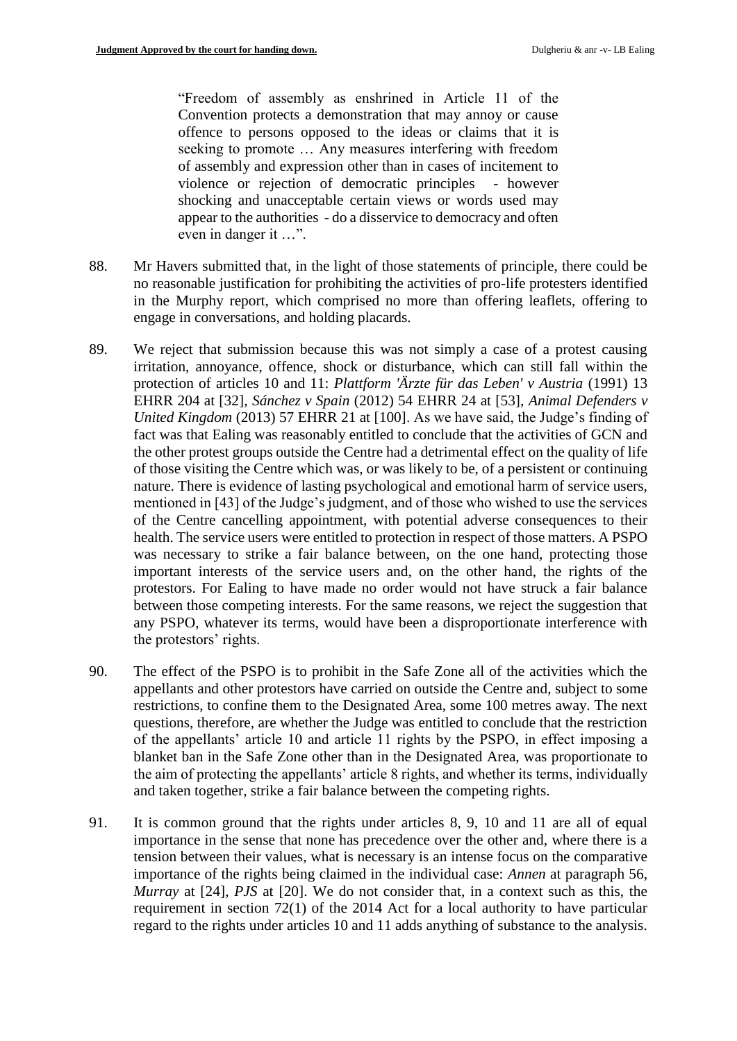"Freedom of assembly as enshrined in Article 11 of the Convention protects a demonstration that may annoy or cause offence to persons opposed to the ideas or claims that it is seeking to promote … Any measures interfering with freedom of assembly and expression other than in cases of incitement to violence or rejection of democratic principles - however shocking and unacceptable certain views or words used may appear to the authorities - do a disservice to democracy and often even in danger it …".

- 88. Mr Havers submitted that, in the light of those statements of principle, there could be no reasonable justification for prohibiting the activities of pro-life protesters identified in the Murphy report, which comprised no more than offering leaflets, offering to engage in conversations, and holding placards.
- 89. We reject that submission because this was not simply a case of a protest causing irritation, annoyance, offence, shock or disturbance, which can still fall within the protection of articles 10 and 11: *Plattform 'Ärzte für das Leben' v Austria* (1991) 13 EHRR 204 at [32], *Sánchez v Spain* (2012) 54 EHRR 24 at [53], *Animal Defenders v United Kingdom* (2013) 57 EHRR 21 at [100]. As we have said, the Judge's finding of fact was that Ealing was reasonably entitled to conclude that the activities of GCN and the other protest groups outside the Centre had a detrimental effect on the quality of life of those visiting the Centre which was, or was likely to be, of a persistent or continuing nature. There is evidence of lasting psychological and emotional harm of service users, mentioned in [43] of the Judge's judgment, and of those who wished to use the services of the Centre cancelling appointment, with potential adverse consequences to their health. The service users were entitled to protection in respect of those matters. A PSPO was necessary to strike a fair balance between, on the one hand, protecting those important interests of the service users and, on the other hand, the rights of the protestors. For Ealing to have made no order would not have struck a fair balance between those competing interests. For the same reasons, we reject the suggestion that any PSPO, whatever its terms, would have been a disproportionate interference with the protestors' rights.
- 90. The effect of the PSPO is to prohibit in the Safe Zone all of the activities which the appellants and other protestors have carried on outside the Centre and, subject to some restrictions, to confine them to the Designated Area, some 100 metres away. The next questions, therefore, are whether the Judge was entitled to conclude that the restriction of the appellants' article 10 and article 11 rights by the PSPO, in effect imposing a blanket ban in the Safe Zone other than in the Designated Area, was proportionate to the aim of protecting the appellants' article 8 rights, and whether its terms, individually and taken together, strike a fair balance between the competing rights.
- 91. It is common ground that the rights under articles 8, 9, 10 and 11 are all of equal importance in the sense that none has precedence over the other and, where there is a tension between their values, what is necessary is an intense focus on the comparative importance of the rights being claimed in the individual case: *Annen* at paragraph 56, *Murray* at [24], *PJS* at [20]. We do not consider that, in a context such as this, the requirement in section 72(1) of the 2014 Act for a local authority to have particular regard to the rights under articles 10 and 11 adds anything of substance to the analysis.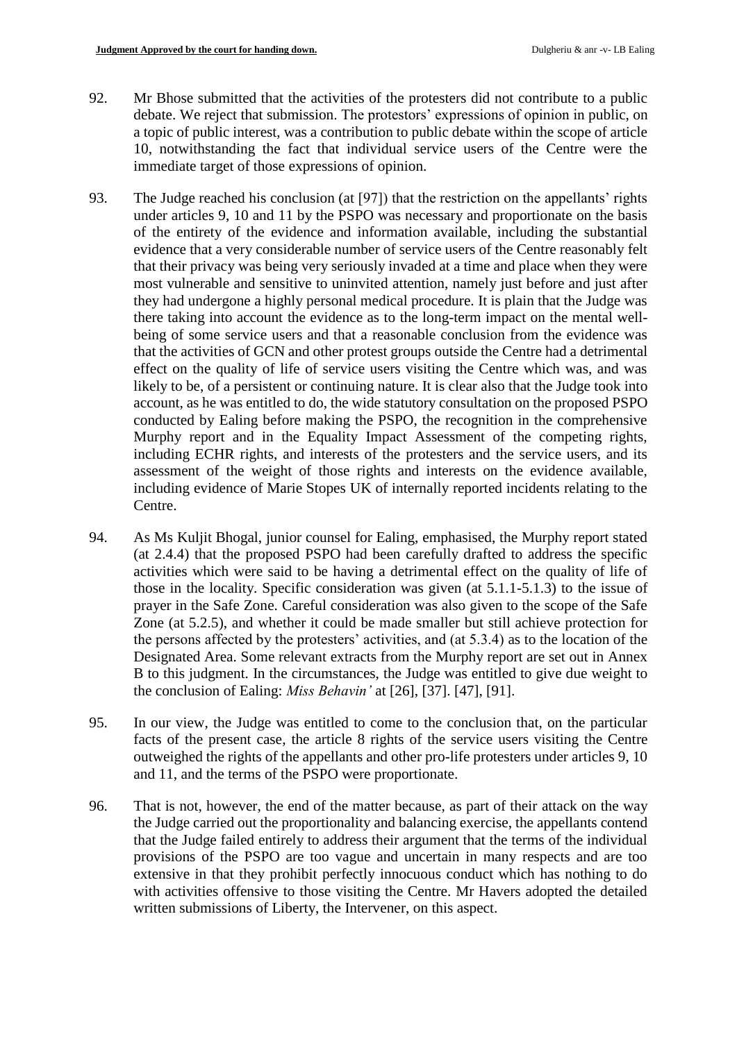- 92. Mr Bhose submitted that the activities of the protesters did not contribute to a public debate. We reject that submission. The protestors' expressions of opinion in public, on a topic of public interest, was a contribution to public debate within the scope of article 10, notwithstanding the fact that individual service users of the Centre were the immediate target of those expressions of opinion.
- 93. The Judge reached his conclusion (at [97]) that the restriction on the appellants' rights under articles 9, 10 and 11 by the PSPO was necessary and proportionate on the basis of the entirety of the evidence and information available, including the substantial evidence that a very considerable number of service users of the Centre reasonably felt that their privacy was being very seriously invaded at a time and place when they were most vulnerable and sensitive to uninvited attention, namely just before and just after they had undergone a highly personal medical procedure. It is plain that the Judge was there taking into account the evidence as to the long-term impact on the mental wellbeing of some service users and that a reasonable conclusion from the evidence was that the activities of GCN and other protest groups outside the Centre had a detrimental effect on the quality of life of service users visiting the Centre which was, and was likely to be, of a persistent or continuing nature. It is clear also that the Judge took into account, as he was entitled to do, the wide statutory consultation on the proposed PSPO conducted by Ealing before making the PSPO, the recognition in the comprehensive Murphy report and in the Equality Impact Assessment of the competing rights, including ECHR rights, and interests of the protesters and the service users, and its assessment of the weight of those rights and interests on the evidence available, including evidence of Marie Stopes UK of internally reported incidents relating to the Centre.
- 94. As Ms Kuljit Bhogal, junior counsel for Ealing, emphasised, the Murphy report stated (at 2.4.4) that the proposed PSPO had been carefully drafted to address the specific activities which were said to be having a detrimental effect on the quality of life of those in the locality. Specific consideration was given (at 5.1.1-5.1.3) to the issue of prayer in the Safe Zone. Careful consideration was also given to the scope of the Safe Zone (at 5.2.5), and whether it could be made smaller but still achieve protection for the persons affected by the protesters' activities, and (at 5.3.4) as to the location of the Designated Area. Some relevant extracts from the Murphy report are set out in Annex B to this judgment. In the circumstances, the Judge was entitled to give due weight to the conclusion of Ealing: *Miss Behavin'* at [26], [37]. [47], [91].
- 95. In our view, the Judge was entitled to come to the conclusion that, on the particular facts of the present case, the article 8 rights of the service users visiting the Centre outweighed the rights of the appellants and other pro-life protesters under articles 9, 10 and 11, and the terms of the PSPO were proportionate.
- 96. That is not, however, the end of the matter because, as part of their attack on the way the Judge carried out the proportionality and balancing exercise, the appellants contend that the Judge failed entirely to address their argument that the terms of the individual provisions of the PSPO are too vague and uncertain in many respects and are too extensive in that they prohibit perfectly innocuous conduct which has nothing to do with activities offensive to those visiting the Centre. Mr Havers adopted the detailed written submissions of Liberty, the Intervener, on this aspect.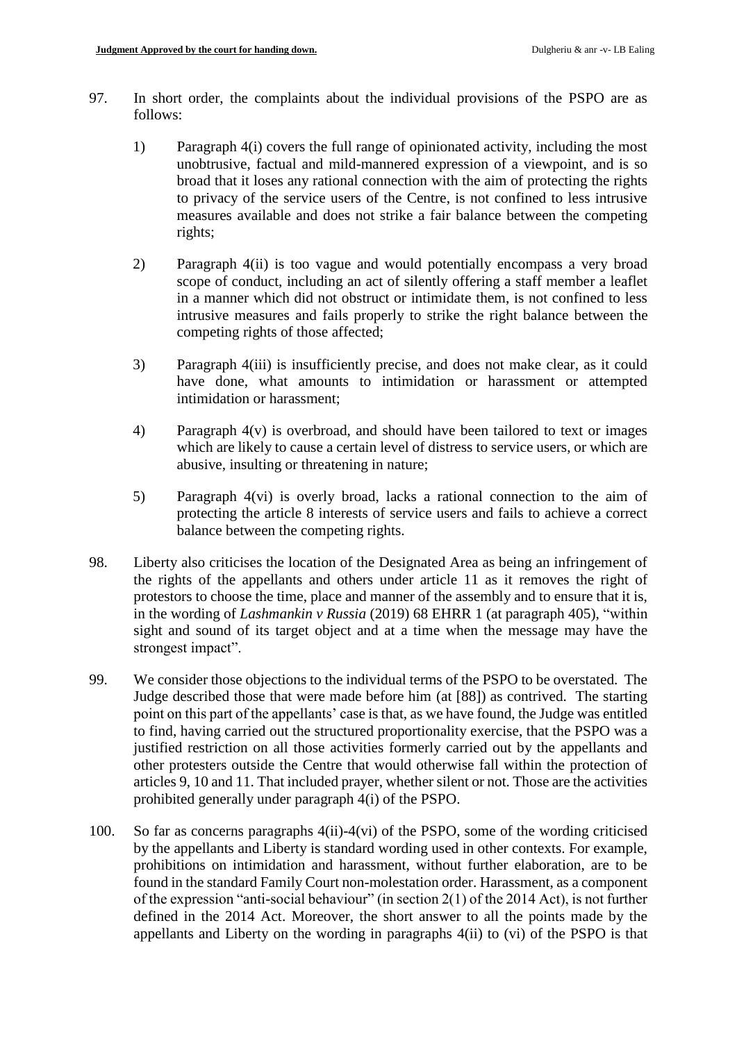- 97. In short order, the complaints about the individual provisions of the PSPO are as follows:
	- 1) Paragraph 4(i) covers the full range of opinionated activity, including the most unobtrusive, factual and mild-mannered expression of a viewpoint, and is so broad that it loses any rational connection with the aim of protecting the rights to privacy of the service users of the Centre, is not confined to less intrusive measures available and does not strike a fair balance between the competing rights;
	- 2) Paragraph 4(ii) is too vague and would potentially encompass a very broad scope of conduct, including an act of silently offering a staff member a leaflet in a manner which did not obstruct or intimidate them, is not confined to less intrusive measures and fails properly to strike the right balance between the competing rights of those affected;
	- 3) Paragraph 4(iii) is insufficiently precise, and does not make clear, as it could have done, what amounts to intimidation or harassment or attempted intimidation or harassment;
	- 4) Paragraph  $4(v)$  is overbroad, and should have been tailored to text or images which are likely to cause a certain level of distress to service users, or which are abusive, insulting or threatening in nature;
	- 5) Paragraph 4(vi) is overly broad, lacks a rational connection to the aim of protecting the article 8 interests of service users and fails to achieve a correct balance between the competing rights.
- 98. Liberty also criticises the location of the Designated Area as being an infringement of the rights of the appellants and others under article 11 as it removes the right of protestors to choose the time, place and manner of the assembly and to ensure that it is, in the wording of *Lashmankin v Russia* (2019) 68 EHRR 1 (at paragraph 405), "within sight and sound of its target object and at a time when the message may have the strongest impact".
- 99. We consider those objections to the individual terms of the PSPO to be overstated. The Judge described those that were made before him (at [88]) as contrived. The starting point on this part of the appellants' case is that, as we have found, the Judge was entitled to find, having carried out the structured proportionality exercise, that the PSPO was a justified restriction on all those activities formerly carried out by the appellants and other protesters outside the Centre that would otherwise fall within the protection of articles 9, 10 and 11. That included prayer, whether silent or not. Those are the activities prohibited generally under paragraph 4(i) of the PSPO.
- 100. So far as concerns paragraphs 4(ii)-4(vi) of the PSPO, some of the wording criticised by the appellants and Liberty is standard wording used in other contexts. For example, prohibitions on intimidation and harassment, without further elaboration, are to be found in the standard Family Court non-molestation order. Harassment, as a component of the expression "anti-social behaviour" (in section 2(1) of the 2014 Act), is not further defined in the 2014 Act. Moreover, the short answer to all the points made by the appellants and Liberty on the wording in paragraphs 4(ii) to (vi) of the PSPO is that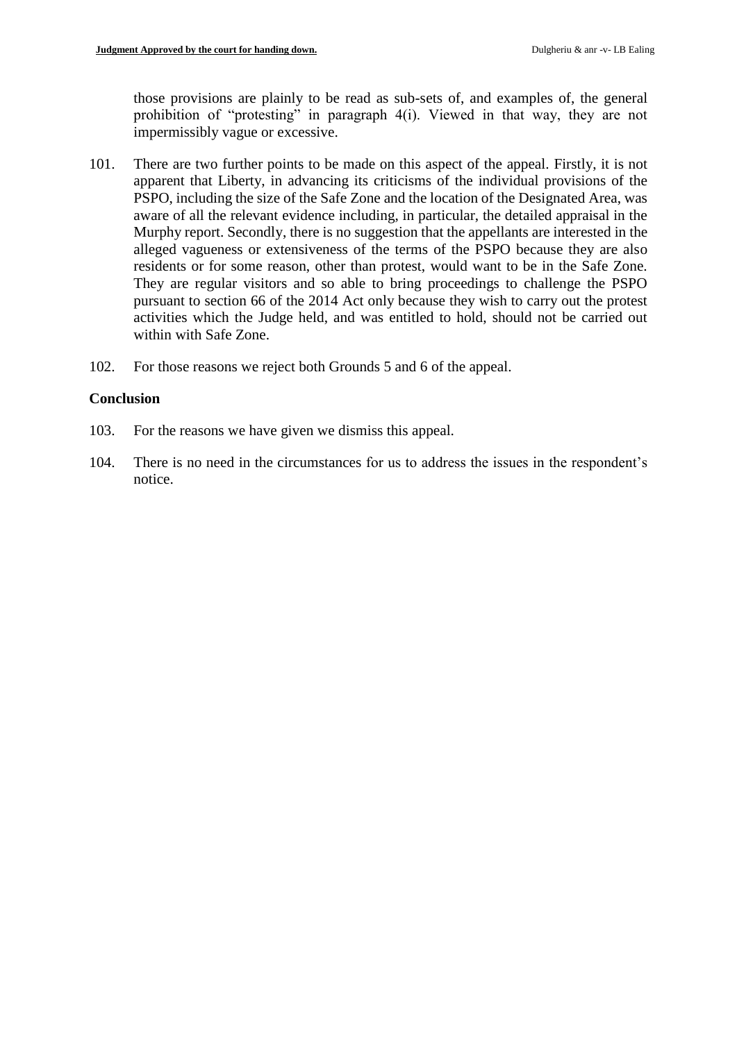those provisions are plainly to be read as sub-sets of, and examples of, the general prohibition of "protesting" in paragraph 4(i). Viewed in that way, they are not impermissibly vague or excessive.

- 101. There are two further points to be made on this aspect of the appeal. Firstly, it is not apparent that Liberty, in advancing its criticisms of the individual provisions of the PSPO, including the size of the Safe Zone and the location of the Designated Area, was aware of all the relevant evidence including, in particular, the detailed appraisal in the Murphy report. Secondly, there is no suggestion that the appellants are interested in the alleged vagueness or extensiveness of the terms of the PSPO because they are also residents or for some reason, other than protest, would want to be in the Safe Zone. They are regular visitors and so able to bring proceedings to challenge the PSPO pursuant to section 66 of the 2014 Act only because they wish to carry out the protest activities which the Judge held, and was entitled to hold, should not be carried out within with Safe Zone.
- 102. For those reasons we reject both Grounds 5 and 6 of the appeal.

### **Conclusion**

- 103. For the reasons we have given we dismiss this appeal.
- 104. There is no need in the circumstances for us to address the issues in the respondent's notice.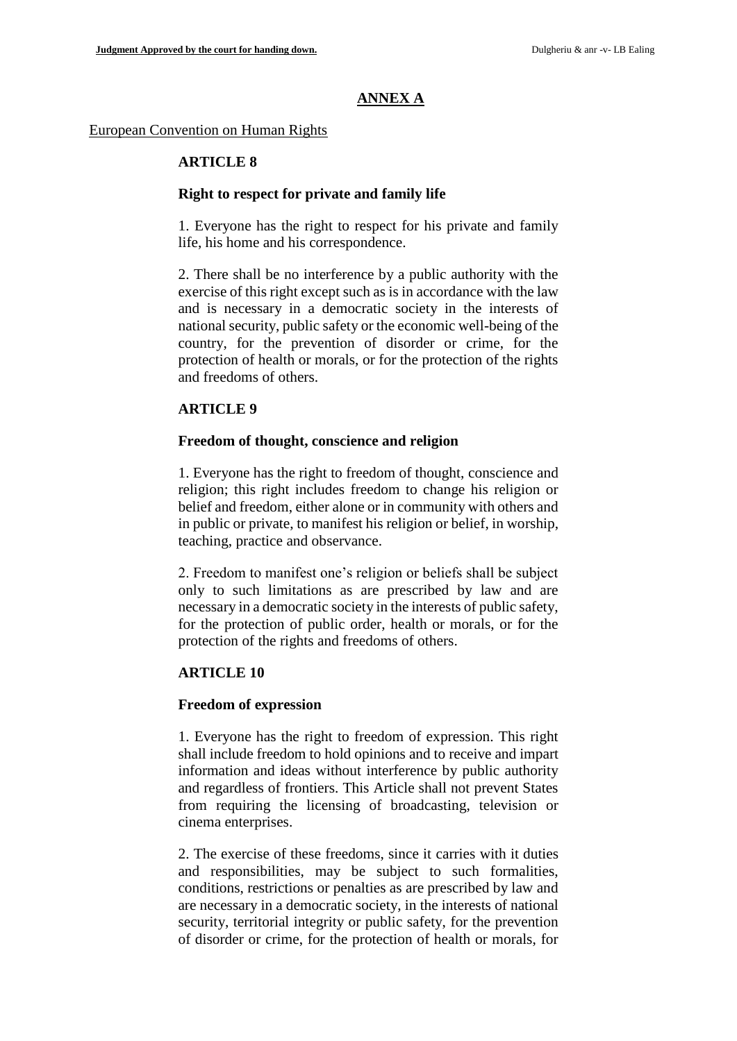# **ANNEX A**

### European Convention on Human Rights

### **ARTICLE 8**

### **Right to respect for private and family life**

1. Everyone has the right to respect for his private and family life, his home and his correspondence.

2. There shall be no interference by a public authority with the exercise of this right except such as is in accordance with the law and is necessary in a democratic society in the interests of national security, public safety or the economic well-being of the country, for the prevention of disorder or crime, for the protection of health or morals, or for the protection of the rights and freedoms of others.

## **ARTICLE 9**

### **Freedom of thought, conscience and religion**

1. Everyone has the right to freedom of thought, conscience and religion; this right includes freedom to change his religion or belief and freedom, either alone or in community with others and in public or private, to manifest his religion or belief, in worship, teaching, practice and observance.

2. Freedom to manifest one's religion or beliefs shall be subject only to such limitations as are prescribed by law and are necessary in a democratic society in the interests of public safety, for the protection of public order, health or morals, or for the protection of the rights and freedoms of others.

## **ARTICLE 10**

### **Freedom of expression**

1. Everyone has the right to freedom of expression. This right shall include freedom to hold opinions and to receive and impart information and ideas without interference by public authority and regardless of frontiers. This Article shall not prevent States from requiring the licensing of broadcasting, television or cinema enterprises.

2. The exercise of these freedoms, since it carries with it duties and responsibilities, may be subject to such formalities, conditions, restrictions or penalties as are prescribed by law and are necessary in a democratic society, in the interests of national security, territorial integrity or public safety, for the prevention of disorder or crime, for the protection of health or morals, for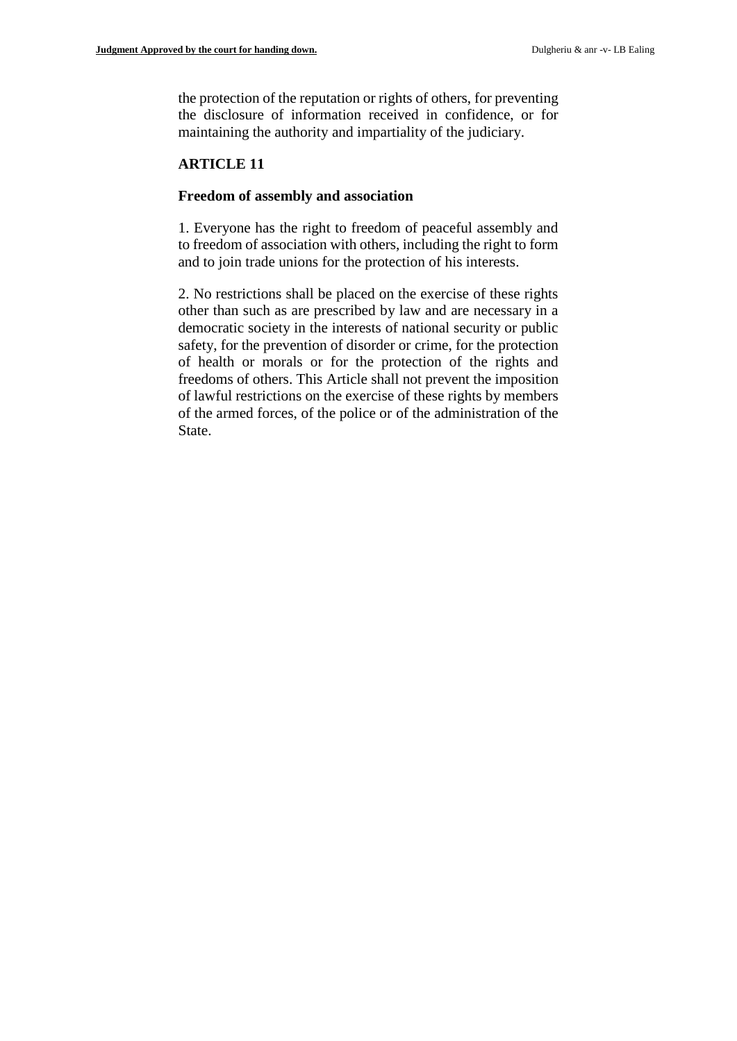the protection of the reputation or rights of others, for preventing the disclosure of information received in confidence, or for maintaining the authority and impartiality of the judiciary.

## **ARTICLE 11**

### **Freedom of assembly and association**

1. Everyone has the right to freedom of peaceful assembly and to freedom of association with others, including the right to form and to join trade unions for the protection of his interests.

2. No restrictions shall be placed on the exercise of these rights other than such as are prescribed by law and are necessary in a democratic society in the interests of national security or public safety, for the prevention of disorder or crime, for the protection of health or morals or for the protection of the rights and freedoms of others. This Article shall not prevent the imposition of lawful restrictions on the exercise of these rights by members of the armed forces, of the police or of the administration of the State.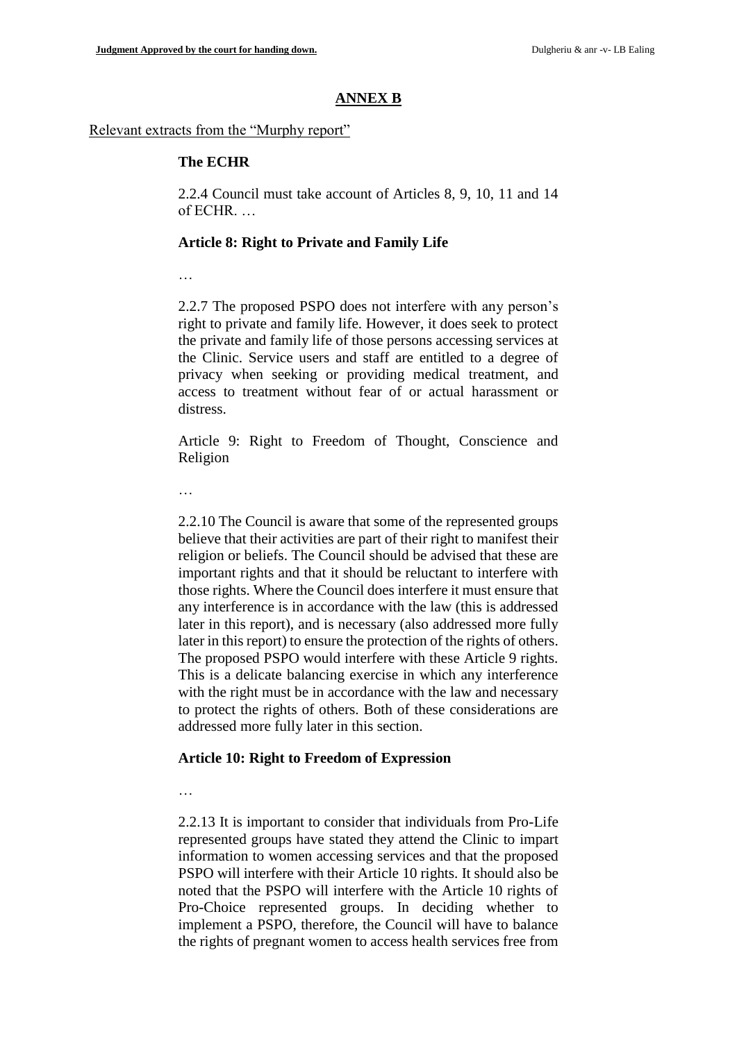### **ANNEX B**

#### Relevant extracts from the "Murphy report"

### **The ECHR**

2.2.4 Council must take account of Articles 8, 9, 10, 11 and 14 of ECHR. …

### **Article 8: Right to Private and Family Life**

…

2.2.7 The proposed PSPO does not interfere with any person's right to private and family life. However, it does seek to protect the private and family life of those persons accessing services at the Clinic. Service users and staff are entitled to a degree of privacy when seeking or providing medical treatment, and access to treatment without fear of or actual harassment or distress.

Article 9: Right to Freedom of Thought, Conscience and Religion

…

2.2.10 The Council is aware that some of the represented groups believe that their activities are part of their right to manifest their religion or beliefs. The Council should be advised that these are important rights and that it should be reluctant to interfere with those rights. Where the Council does interfere it must ensure that any interference is in accordance with the law (this is addressed later in this report), and is necessary (also addressed more fully later in this report) to ensure the protection of the rights of others. The proposed PSPO would interfere with these Article 9 rights. This is a delicate balancing exercise in which any interference with the right must be in accordance with the law and necessary to protect the rights of others. Both of these considerations are addressed more fully later in this section.

## **Article 10: Right to Freedom of Expression**

…

2.2.13 It is important to consider that individuals from Pro-Life represented groups have stated they attend the Clinic to impart information to women accessing services and that the proposed PSPO will interfere with their Article 10 rights. It should also be noted that the PSPO will interfere with the Article 10 rights of Pro-Choice represented groups. In deciding whether to implement a PSPO, therefore, the Council will have to balance the rights of pregnant women to access health services free from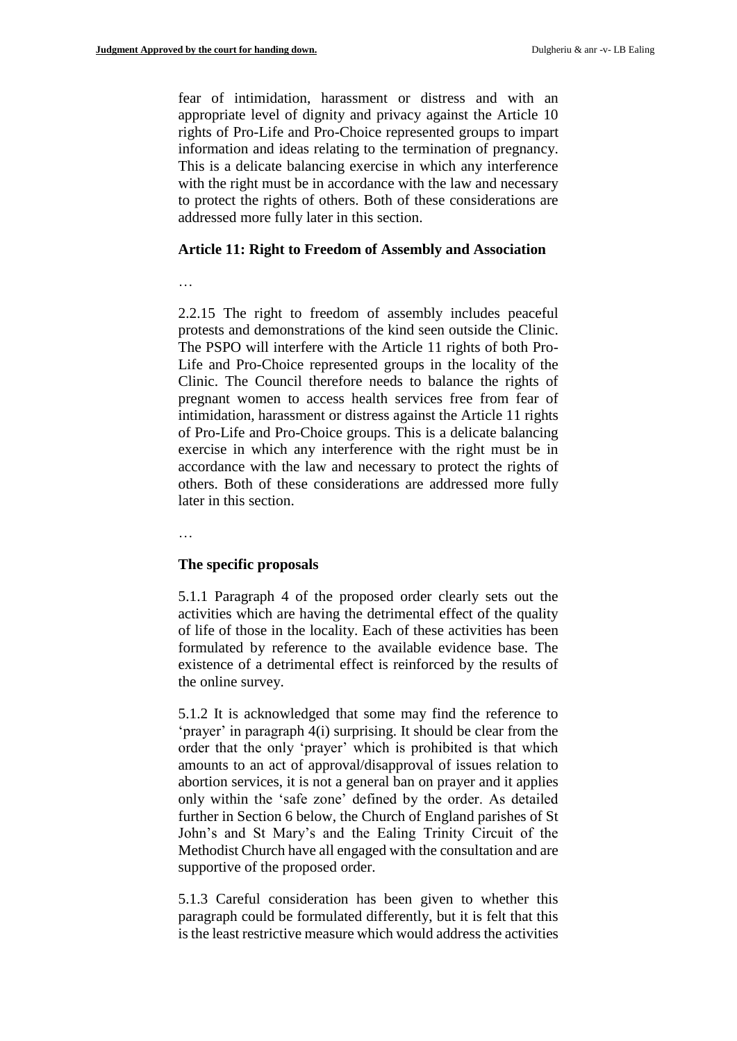fear of intimidation, harassment or distress and with an appropriate level of dignity and privacy against the Article 10 rights of Pro-Life and Pro-Choice represented groups to impart information and ideas relating to the termination of pregnancy. This is a delicate balancing exercise in which any interference with the right must be in accordance with the law and necessary to protect the rights of others. Both of these considerations are addressed more fully later in this section.

### **Article 11: Right to Freedom of Assembly and Association**

…

2.2.15 The right to freedom of assembly includes peaceful protests and demonstrations of the kind seen outside the Clinic. The PSPO will interfere with the Article 11 rights of both Pro-Life and Pro-Choice represented groups in the locality of the Clinic. The Council therefore needs to balance the rights of pregnant women to access health services free from fear of intimidation, harassment or distress against the Article 11 rights of Pro-Life and Pro-Choice groups. This is a delicate balancing exercise in which any interference with the right must be in accordance with the law and necessary to protect the rights of others. Both of these considerations are addressed more fully later in this section.

…

### **The specific proposals**

5.1.1 Paragraph 4 of the proposed order clearly sets out the activities which are having the detrimental effect of the quality of life of those in the locality. Each of these activities has been formulated by reference to the available evidence base. The existence of a detrimental effect is reinforced by the results of the online survey.

5.1.2 It is acknowledged that some may find the reference to 'prayer' in paragraph 4(i) surprising. It should be clear from the order that the only 'prayer' which is prohibited is that which amounts to an act of approval/disapproval of issues relation to abortion services, it is not a general ban on prayer and it applies only within the 'safe zone' defined by the order. As detailed further in Section 6 below, the Church of England parishes of St John's and St Mary's and the Ealing Trinity Circuit of the Methodist Church have all engaged with the consultation and are supportive of the proposed order.

5.1.3 Careful consideration has been given to whether this paragraph could be formulated differently, but it is felt that this is the least restrictive measure which would address the activities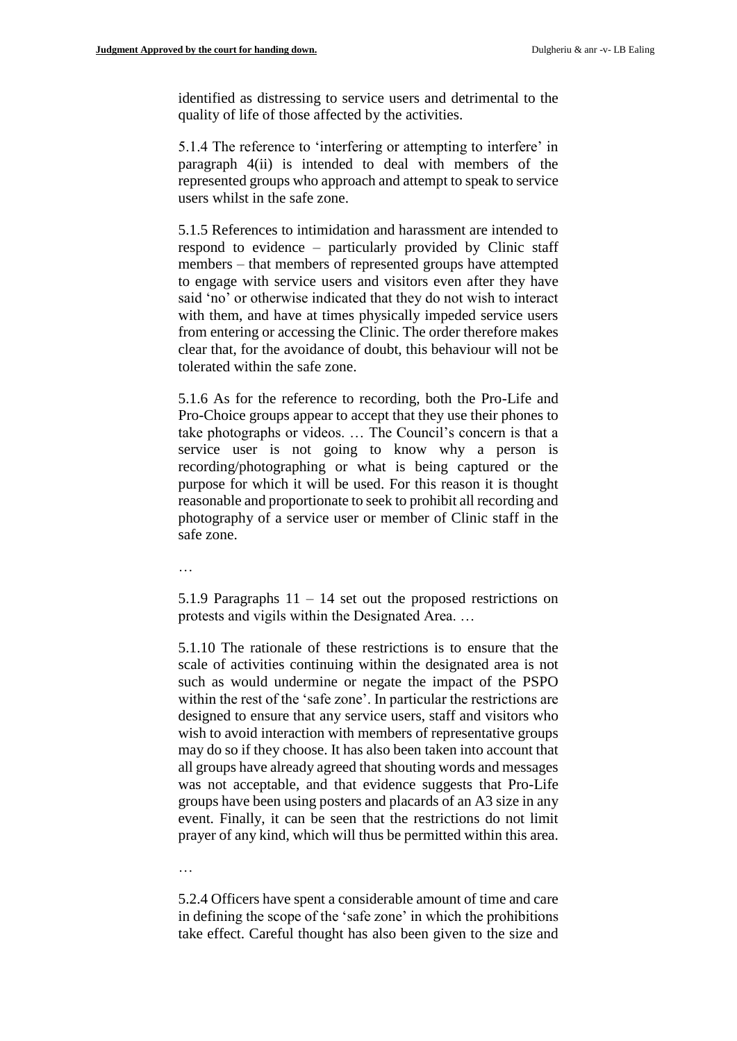identified as distressing to service users and detrimental to the quality of life of those affected by the activities.

5.1.4 The reference to 'interfering or attempting to interfere' in paragraph 4(ii) is intended to deal with members of the represented groups who approach and attempt to speak to service users whilst in the safe zone.

5.1.5 References to intimidation and harassment are intended to respond to evidence – particularly provided by Clinic staff members – that members of represented groups have attempted to engage with service users and visitors even after they have said 'no' or otherwise indicated that they do not wish to interact with them, and have at times physically impeded service users from entering or accessing the Clinic. The order therefore makes clear that, for the avoidance of doubt, this behaviour will not be tolerated within the safe zone.

5.1.6 As for the reference to recording, both the Pro-Life and Pro-Choice groups appear to accept that they use their phones to take photographs or videos. … The Council's concern is that a service user is not going to know why a person is recording/photographing or what is being captured or the purpose for which it will be used. For this reason it is thought reasonable and proportionate to seek to prohibit all recording and photography of a service user or member of Clinic staff in the safe zone.

…

5.1.9 Paragraphs 11 – 14 set out the proposed restrictions on protests and vigils within the Designated Area. …

5.1.10 The rationale of these restrictions is to ensure that the scale of activities continuing within the designated area is not such as would undermine or negate the impact of the PSPO within the rest of the 'safe zone'. In particular the restrictions are designed to ensure that any service users, staff and visitors who wish to avoid interaction with members of representative groups may do so if they choose. It has also been taken into account that all groups have already agreed that shouting words and messages was not acceptable, and that evidence suggests that Pro-Life groups have been using posters and placards of an A3 size in any event. Finally, it can be seen that the restrictions do not limit prayer of any kind, which will thus be permitted within this area.

…

5.2.4 Officers have spent a considerable amount of time and care in defining the scope of the 'safe zone' in which the prohibitions take effect. Careful thought has also been given to the size and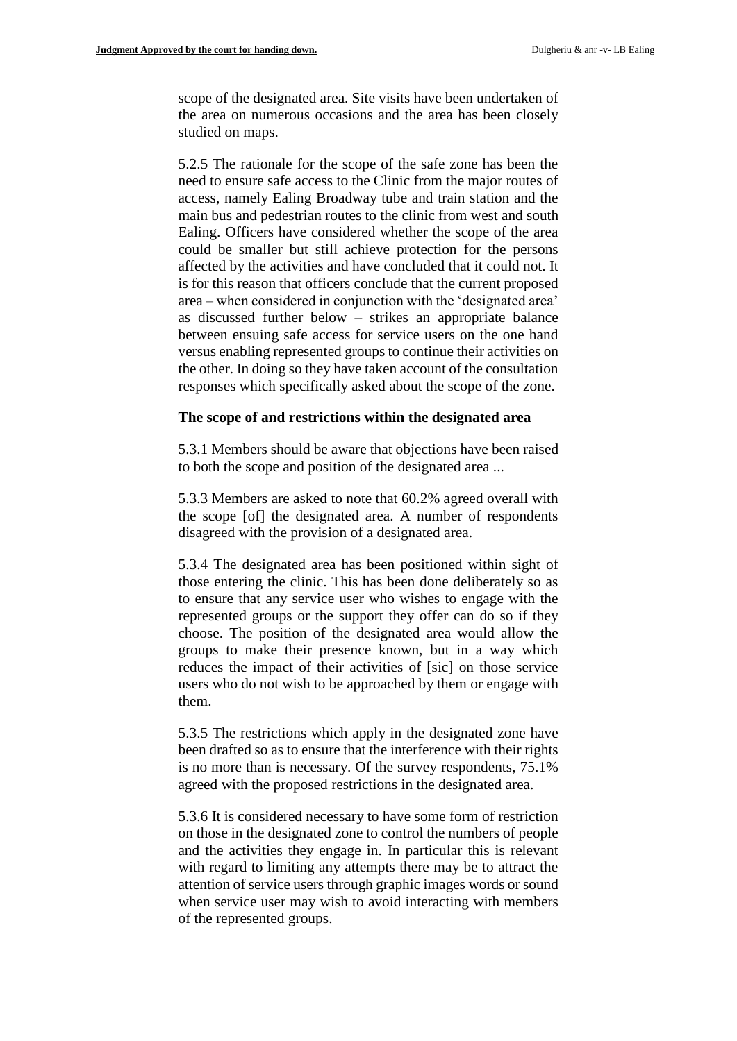scope of the designated area. Site visits have been undertaken of the area on numerous occasions and the area has been closely studied on maps.

5.2.5 The rationale for the scope of the safe zone has been the need to ensure safe access to the Clinic from the major routes of access, namely Ealing Broadway tube and train station and the main bus and pedestrian routes to the clinic from west and south Ealing. Officers have considered whether the scope of the area could be smaller but still achieve protection for the persons affected by the activities and have concluded that it could not. It is for this reason that officers conclude that the current proposed area – when considered in conjunction with the 'designated area' as discussed further below – strikes an appropriate balance between ensuing safe access for service users on the one hand versus enabling represented groups to continue their activities on the other. In doing so they have taken account of the consultation responses which specifically asked about the scope of the zone.

### **The scope of and restrictions within the designated area**

5.3.1 Members should be aware that objections have been raised to both the scope and position of the designated area ...

5.3.3 Members are asked to note that 60.2% agreed overall with the scope [of] the designated area. A number of respondents disagreed with the provision of a designated area.

5.3.4 The designated area has been positioned within sight of those entering the clinic. This has been done deliberately so as to ensure that any service user who wishes to engage with the represented groups or the support they offer can do so if they choose. The position of the designated area would allow the groups to make their presence known, but in a way which reduces the impact of their activities of [sic] on those service users who do not wish to be approached by them or engage with them.

5.3.5 The restrictions which apply in the designated zone have been drafted so as to ensure that the interference with their rights is no more than is necessary. Of the survey respondents, 75.1% agreed with the proposed restrictions in the designated area.

5.3.6 It is considered necessary to have some form of restriction on those in the designated zone to control the numbers of people and the activities they engage in. In particular this is relevant with regard to limiting any attempts there may be to attract the attention of service users through graphic images words or sound when service user may wish to avoid interacting with members of the represented groups.